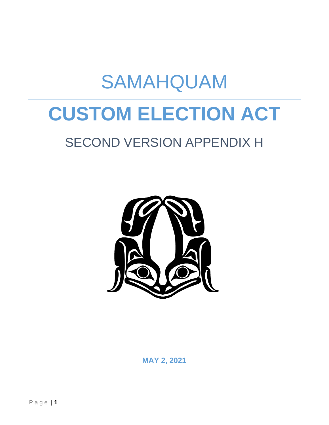# **CUSTOM ELECTION ACT**

SAMAHQUAM

## SECOND VERSION APPENDIX H



**MAY 2, 2021**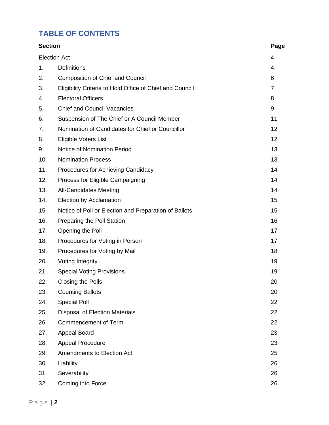#### **TABLE OF CONTENTS**

| <b>Section</b>      |                                                          | Page           |
|---------------------|----------------------------------------------------------|----------------|
| <b>Election Act</b> |                                                          | 4              |
| 1.                  | <b>Definitions</b>                                       | $\overline{4}$ |
| 2.                  | <b>Composition of Chief and Council</b>                  | 6              |
| 3.                  | Eligibility Criteria to Hold Office of Chief and Council | $\overline{7}$ |
| 4.                  | <b>Electoral Officers</b>                                | 8              |
| 5.                  | <b>Chief and Council Vacancies</b>                       | 9              |
| 6.                  | Suspension of The Chief or A Council Member              | 11             |
| 7.                  | Nomination of Candidates for Chief or Councillor         | 12             |
| 8.                  | Eligible Voters List                                     | 12             |
| 9.                  | <b>Notice of Nomination Period</b>                       | 13             |
| 10.                 | <b>Nomination Process</b>                                | 13             |
| 11.                 | Procedures for Achieving Candidacy                       | 14             |
| 12.                 | Process for Eligible Campaigning                         | 14             |
| 13.                 | <b>All-Candidates Meeting</b>                            | 14             |
| 14.                 | Election by Acclamation                                  | 15             |
| 15.                 | Notice of Poll or Election and Preparation of Ballots    | 15             |
| 16.                 | Preparing the Poll Station                               | 16             |
| 17.                 | Opening the Poll                                         | 17             |
| 18.                 | Procedures for Voting in Person                          | 17             |
| 19.                 | Procedures for Voting by Mail                            | 18             |
| 20.                 | <b>Voting Integrity</b>                                  | 19             |
| 21.                 | <b>Special Voting Provisions</b>                         | 19             |
| 22.                 | <b>Closing the Polls</b>                                 | 20             |
| 23.                 | <b>Counting Ballots</b>                                  | 20             |
| 24.                 | <b>Special Poll</b>                                      | 22             |
| 25.                 | <b>Disposal of Election Materials</b>                    | 22             |
| 26.                 | <b>Commencement of Term</b>                              | 22             |
| 27.                 | <b>Appeal Board</b>                                      | 23             |
| 28.                 | <b>Appeal Procedure</b>                                  | 23             |
| 29.                 | <b>Amendments to Election Act</b>                        | 25             |
| 30.                 | Liability                                                | 26             |
| 31.                 | Severability                                             | 26             |
| 32.                 | Coming into Force                                        | 26             |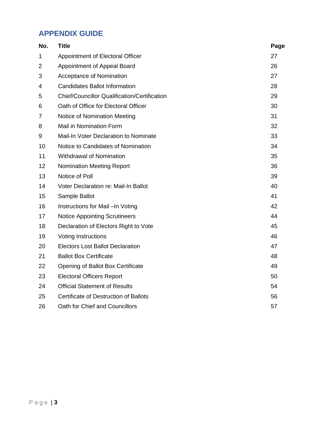#### **APPENDIX GUIDE**

| No. | <b>Title</b>                                        | Page |
|-----|-----------------------------------------------------|------|
| 1   | Appointment of Electoral Officer                    | 27   |
| 2   | Appointment of Appeal Board                         | 26   |
| 3   | Acceptance of Nomination                            | 27   |
| 4   | <b>Candidates Ballot Information</b>                | 28   |
| 5   | <b>Chief/Councillor Qualification/Certification</b> | 29   |
| 6   | Oath of Office for Electoral Officer                | 30   |
| 7   | Notice of Nomination Meeting                        | 31   |
| 8   | <b>Mail in Nomination Form</b>                      | 32   |
| 9   | Mail-In Voter Declaration to Nominate               | 33   |
| 10  | Notice to Candidates of Nomination                  | 34   |
| 11  | <b>Withdrawal of Nomination</b>                     | 35   |
| 12  | <b>Nomination Meeting Report</b>                    | 36   |
| 13  | Notice of Poll                                      | 39   |
| 14  | Voter Declaration re: Mail-In Ballot                | 40   |
| 15  | Sample Ballot                                       | 41   |
| 16  | Instructions for Mail-In Voting                     | 42   |
| 17  | <b>Notice Appointing Scrutineers</b>                | 44   |
| 18  | Declaration of Electors Right to Vote               | 45   |
| 19  | <b>Voting Instructions</b>                          | 46   |
| 20  | <b>Electors Lost Ballot Declaration</b>             | 47   |
| 21  | <b>Ballot Box Certificate</b>                       | 48   |
| 22  | Opening of Ballot Box Certificate                   | 49   |
| 23  | <b>Electoral Officers Report</b>                    | 50   |
| 24  | <b>Official Statement of Results</b>                | 54   |
| 25  | Certificate of Destruction of Ballots               | 56   |
| 26  | Oath for Chief and Councillors                      | 57   |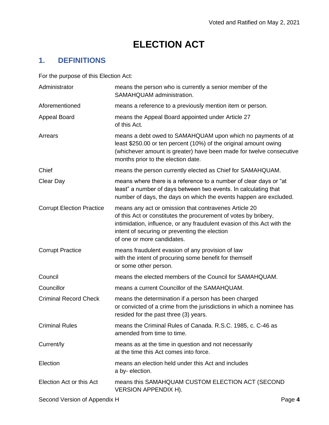## **ELECTION ACT**

#### **1. DEFINITIONS**

For the purpose of this Election Act:

| Administrator                    | means the person who is currently a senior member of the<br>SAMAHQUAM administration.                                                                                                                                                                                              |
|----------------------------------|------------------------------------------------------------------------------------------------------------------------------------------------------------------------------------------------------------------------------------------------------------------------------------|
| Aforementioned                   | means a reference to a previously mention item or person.                                                                                                                                                                                                                          |
| <b>Appeal Board</b>              | means the Appeal Board appointed under Article 27<br>of this Act.                                                                                                                                                                                                                  |
| Arrears                          | means a debt owed to SAMAHQUAM upon which no payments of at<br>least \$250.00 or ten percent (10%) of the original amount owing<br>(whichever amount is greater) have been made for twelve consecutive<br>months prior to the election date.                                       |
| Chief                            | means the person currently elected as Chief for SAMAHQUAM.                                                                                                                                                                                                                         |
| Clear Day                        | means where there is a reference to a number of clear days or "at<br>least" a number of days between two events. In calculating that<br>number of days, the days on which the events happen are excluded.                                                                          |
| <b>Corrupt Election Practice</b> | means any act or omission that contravenes Article 20<br>of this Act or constitutes the procurement of votes by bribery,<br>intimidation, influence, or any fraudulent evasion of this Act with the<br>intent of securing or preventing the election<br>of one or more candidates. |
| <b>Corrupt Practice</b>          | means fraudulent evasion of any provision of law<br>with the intent of procuring some benefit for themself<br>or some other person.                                                                                                                                                |
| Council                          | means the elected members of the Council for SAMAHQUAM.                                                                                                                                                                                                                            |
| Councillor                       | means a current Councillor of the SAMAHQUAM.                                                                                                                                                                                                                                       |
| <b>Criminal Record Check</b>     | means the determination if a person has been charged<br>or convicted of a crime from the jurisdictions in which a nominee has<br>resided for the past three (3) years.                                                                                                             |
| <b>Criminal Rules</b>            | means the Criminal Rules of Canada. R.S.C. 1985, c. C-46 as<br>amended from time to time.                                                                                                                                                                                          |
| Current/ly                       | means as at the time in question and not necessarily<br>at the time this Act comes into force.                                                                                                                                                                                     |
| Election                         | means an election held under this Act and includes<br>a by-election.                                                                                                                                                                                                               |
| Election Act or this Act         | means this SAMAHQUAM CUSTOM ELECTION ACT (SECOND<br><b>VERSION APPENDIX H).</b>                                                                                                                                                                                                    |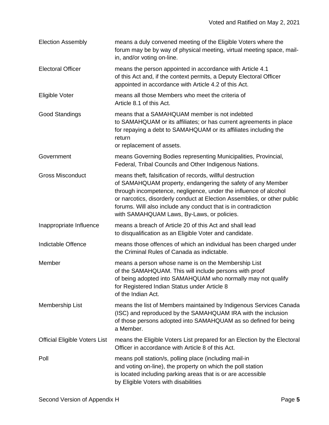| <b>Election Assembly</b>             | means a duly convened meeting of the Eligible Voters where the<br>forum may be by way of physical meeting, virtual meeting space, mail-<br>in, and/or voting on-line.                                                                                                                                                                                                                     |
|--------------------------------------|-------------------------------------------------------------------------------------------------------------------------------------------------------------------------------------------------------------------------------------------------------------------------------------------------------------------------------------------------------------------------------------------|
| <b>Electoral Officer</b>             | means the person appointed in accordance with Article 4.1<br>of this Act and, if the context permits, a Deputy Electoral Officer<br>appointed in accordance with Article 4.2 of this Act.                                                                                                                                                                                                 |
| Eligible Voter                       | means all those Members who meet the criteria of<br>Article 8.1 of this Act.                                                                                                                                                                                                                                                                                                              |
| <b>Good Standings</b>                | means that a SAMAHQUAM member is not indebted<br>to SAMAHQUAM or its affiliates; or has current agreements in place<br>for repaying a debt to SAMAHQUAM or its affiliates including the<br>return                                                                                                                                                                                         |
|                                      | or replacement of assets.                                                                                                                                                                                                                                                                                                                                                                 |
| Government                           | means Governing Bodies representing Municipalities, Provincial,<br>Federal, Tribal Councils and Other Indigenous Nations.                                                                                                                                                                                                                                                                 |
| <b>Gross Misconduct</b>              | means theft, falsification of records, willful destruction<br>of SAMAHQUAM property, endangering the safety of any Member<br>through incompetence, negligence, under the influence of alcohol<br>or narcotics, disorderly conduct at Election Assemblies, or other public<br>forums. Will also include any conduct that is in contradiction<br>with SAMAHQUAM Laws, By-Laws, or policies. |
| Inappropriate Influence              | means a breach of Article 20 of this Act and shall lead<br>to disqualification as an Eligible Voter and candidate.                                                                                                                                                                                                                                                                        |
| Indictable Offence                   | means those offences of which an individual has been charged under<br>the Criminal Rules of Canada as indictable.                                                                                                                                                                                                                                                                         |
| Member                               | means a person whose name is on the Membership List<br>of the SAMAHQUAM. This will include persons with proof<br>of being adopted into SAMAHQUAM who normally may not qualify<br>for Registered Indian Status under Article 8<br>of the Indian Act.                                                                                                                                       |
| Membership List                      | means the list of Members maintained by Indigenous Services Canada<br>(ISC) and reproduced by the SAMAHQUAM IRA with the inclusion<br>of those persons adopted into SAMAHQUAM as so defined for being<br>a Member.                                                                                                                                                                        |
| <b>Official Eligible Voters List</b> | means the Eligible Voters List prepared for an Election by the Electoral<br>Officer in accordance with Article 8 of this Act.                                                                                                                                                                                                                                                             |
| Poll                                 | means poll station/s, polling place (including mail-in<br>and voting on-line), the property on which the poll station<br>is located including parking areas that is or are accessible<br>by Eligible Voters with disabilities                                                                                                                                                             |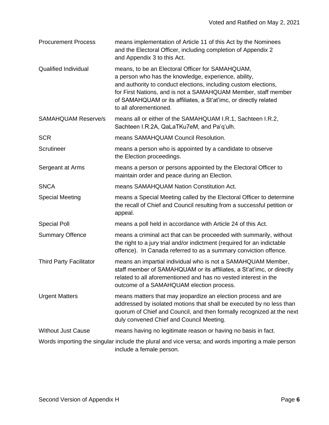| <b>Procurement Process</b>     | means implementation of Article 11 of this Act by the Nominees<br>and the Electoral Officer, including completion of Appendix 2<br>and Appendix 3 to this Act.                                                                                                                                                                              |
|--------------------------------|---------------------------------------------------------------------------------------------------------------------------------------------------------------------------------------------------------------------------------------------------------------------------------------------------------------------------------------------|
| <b>Qualified Individual</b>    | means, to be an Electoral Officer for SAMAHQUAM,<br>a person who has the knowledge, experience, ability,<br>and authority to conduct elections, including custom elections,<br>for First Nations, and is not a SAMAHQUAM Member, staff member<br>of SAMAHQUAM or its affiliates, a St'at'imc, or directly related<br>to all aforementioned. |
| <b>SAMAHQUAM Reserve/s</b>     | means all or either of the SAMAHQUAM I.R.1, Sachteen I.R.2,<br>Sachteen I.R.2A, QaLaTKu7eM, and Pa'q'ulh.                                                                                                                                                                                                                                   |
| <b>SCR</b>                     | means SAMAHQUAM Council Resolution.                                                                                                                                                                                                                                                                                                         |
| Scrutineer                     | means a person who is appointed by a candidate to observe<br>the Election proceedings.                                                                                                                                                                                                                                                      |
| Sergeant at Arms               | means a person or persons appointed by the Electoral Officer to<br>maintain order and peace during an Election.                                                                                                                                                                                                                             |
| <b>SNCA</b>                    | means SAMAHQUAM Nation Constitution Act.                                                                                                                                                                                                                                                                                                    |
| <b>Special Meeting</b>         | means a Special Meeting called by the Electoral Officer to determine<br>the recall of Chief and Council resulting from a successful petition or<br>appeal.                                                                                                                                                                                  |
| <b>Special Poll</b>            | means a poll held in accordance with Article 24 of this Act.                                                                                                                                                                                                                                                                                |
| <b>Summary Offence</b>         | means a criminal act that can be proceeded with summarily, without<br>the right to a jury trial and/or indictment (required for an indictable<br>offence). In Canada referred to as a summary conviction offence.                                                                                                                           |
| <b>Third Party Facilitator</b> | means an impartial individual who is not a SAMAHQUAM Member,<br>staff member of SAMAHQUAM or its affiliates, a St'at'imc, or directly<br>related to all aforementioned and has no vested interest in the<br>outcome of a SAMAHQUAM election process.                                                                                        |
| <b>Urgent Matters</b>          | means matters that may jeopardize an election process and are<br>addressed by isolated motions that shall be executed by no less than<br>quorum of Chief and Council, and then formally recognized at the next<br>duly convened Chief and Council Meeting.                                                                                  |
| <b>Without Just Cause</b>      | means having no legitimate reason or having no basis in fact.                                                                                                                                                                                                                                                                               |
|                                | Words importing the singular include the plural and vice versa; and words importing a male person<br>include a female person.                                                                                                                                                                                                               |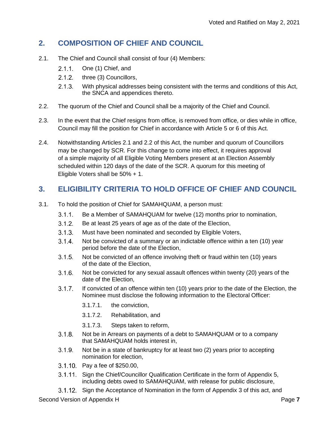#### **2. COMPOSITION OF CHIEF AND COUNCIL**

- 2.1. The Chief and Council shall consist of four (4) Members:
	- $2.1.1.$ One (1) Chief, and
	- $2.1.2.$ three (3) Councillors,
	- $2.1.3.$ With physical addresses being consistent with the terms and conditions of this Act, the SNCA and appendices thereto.
- 2.2. The quorum of the Chief and Council shall be a majority of the Chief and Council.
- 2.3. In the event that the Chief resigns from office, is removed from office, or dies while in office, Council may fill the position for Chief in accordance with Article 5 or 6 of this Act.
- 2.4. Notwithstanding Articles 2.1 and 2.2 of this Act, the number and quorum of Councillors may be changed by SCR. For this change to come into effect, it requires approval of a simple majority of all Eligible Voting Members present at an Election Assembly scheduled within 120 days of the date of the SCR. A quorum for this meeting of Eligible Voters shall be 50% + 1.

#### **3. ELIGIBILITY CRITERIA TO HOLD OFFICE OF CHIEF AND COUNCIL**

- 3.1. To hold the position of Chief for SAMAHQUAM, a person must:
	- $3.1.1.$ Be a Member of SAMAHQUAM for twelve (12) months prior to nomination,
	- $3.1.2.$ Be at least 25 years of age as of the date of the Election,
	- $3.1.3.$ Must have been nominated and seconded by Eligible Voters,
	- $3.1.4$ Not be convicted of a summary or an indictable offence within a ten (10) year period before the date of the Election,
	- $3.1.5.$ Not be convicted of an offence involving theft or fraud within ten (10) years of the date of the Election,
	- $3.1.6.$ Not be convicted for any sexual assault offences within twenty (20) years of the date of the Election,
	- $3.1.7.$ If convicted of an offence within ten (10) years prior to the date of the Election, the Nominee must disclose the following information to the Electoral Officer:
		- 3.1.7.1. the conviction,
		- 3.1.7.2. Rehabilitation, and
		- 3.1.7.3. Steps taken to reform,
	- $3.1.8.$ Not be in Arrears on payments of a debt to SAMAHQUAM or to a company that SAMAHQUAM holds interest in,
	- $3.1.9.$ Not be in a state of bankruptcy for at least two (2) years prior to accepting nomination for election,
	- 3.1.10 Pay a fee of \$250.00,
	- $3.1.11$ . Sign the Chief/Councillor Qualification Certificate in the form of Appendix 5, including debts owed to SAMAHQUAM, with release for public disclosure,
	- Sign the Acceptance of Nomination in the form of Appendix 3 of this act, and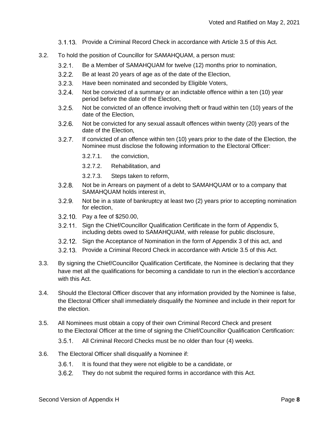- 3.1.13. Provide a Criminal Record Check in accordance with Article 3.5 of this Act.
- 3.2. To hold the position of Councillor for SAMAHQUAM, a person must:
	- $3.2.1.$ Be a Member of SAMAHQUAM for twelve (12) months prior to nomination,
	- $3.2.2.$ Be at least 20 years of age as of the date of the Election,
	- $3.2.3.$ Have been nominated and seconded by Eligible Voters,
	- $3.2.4.$ Not be convicted of a summary or an indictable offence within a ten (10) year period before the date of the Election,
	- $3.2.5.$ Not be convicted of an offence involving theft or fraud within ten (10) years of the date of the Election,
	- $3.2.6.$ Not be convicted for any sexual assault offences within twenty (20) years of the date of the Election,
	- $3.2.7.$ If convicted of an offence within ten (10) years prior to the date of the Election, the Nominee must disclose the following information to the Electoral Officer:
		- 3.2.7.1. the conviction,
		- 3.2.7.2. Rehabilitation, and
		- 3.2.7.3. Steps taken to reform,
	- $3.2.8.$ Not be in Arrears on payment of a debt to SAMAHQUAM or to a company that SAMAHQUAM holds interest in,
	- $3.2.9.$ Not be in a state of bankruptcy at least two (2) years prior to accepting nomination for election,
	- 3.2.10. Pay a fee of \$250.00,
	- Sign the Chief/Councillor Qualification Certificate in the form of Appendix 5, including debts owed to SAMAHQUAM, with release for public disclosure,
	- Sign the Acceptance of Nomination in the form of Appendix 3 of this act, and
	- 3.2.13. Provide a Criminal Record Check in accordance with Article 3.5 of this Act.
- 3.3. By signing the Chief/Councillor Qualification Certificate, the Nominee is declaring that they have met all the qualifications for becoming a candidate to run in the election's accordance with this Act.
- 3.4. Should the Electoral Officer discover that any information provided by the Nominee is false, the Electoral Officer shall immediately disqualify the Nominee and include in their report for the election.
- 3.5. All Nominees must obtain a copy of their own Criminal Record Check and present to the Electoral Officer at the time of signing the Chief/Councillor Qualification Certification:
	- $3.5.1.$ All Criminal Record Checks must be no older than four (4) weeks.
- 3.6. The Electoral Officer shall disqualify a Nominee if:
	- $3.6.1.$ It is found that they were not eligible to be a candidate, or
	- $3.6.2.$ They do not submit the required forms in accordance with this Act.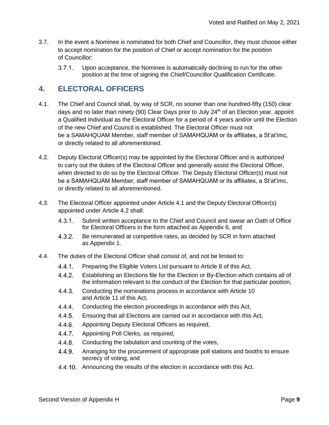- 3.7. In the event a Nominee is nominated for both Chief and Councillor, they must choose either to accept nomination for the position of Chief or accept nomination for the position of Councillor:
	- $3.7.1.$ Upon acceptance, the Nominee is automatically declining to run for the other position at the time of signing the Chief/Councillor Qualification Certificate.

#### **4. ELECTORAL OFFICERS**

- 4.1. The Chief and Council shall, by way of SCR, no sooner than one hundred-fifty (150) clear days and no later than ninety (90) Clear Days prior to July 24<sup>th</sup> of an Election year, appoint a Qualified Individual as the Electoral Officer for a period of 4 years and/or until the Election of the new Chief and Council is established. The Electoral Officer must not be a SAMAHQUAM Member, staff member of SAMAHQUAM or its affiliates, a St'at'imc, or directly related to all aforementioned.
- 4.2. Deputy Electoral Officer(s) may be appointed by the Electoral Officer and is authorized to carry out the duties of the Electoral Officer and generally assist the Electoral Officer, when directed to do so by the Electoral Officer. The Deputy Electoral Officer(s) must not be a SAMAHQUAM Member, staff member of SAMAHQUAM or its affiliates, a St'at'imc, or directly related to all aforementioned.
- 4.3. The Electoral Officer appointed under Article 4.1 and the Deputy Electoral Officer(s) appointed under Article 4.2 shall:
	- Submit written acceptance to the Chief and Council and swear an Oath of Office  $4.3.1.$ for Electoral Officers in the form attached as Appendix 6, and
	- $4.3.2.$ Be remunerated at competitive rates, as decided by SCR in form attached as Appendix 1.
- 4.4. The duties of the Electoral Officer shall consist of, and not be limited to:
	- $4.4.1.$ Preparing the Eligible Voters List pursuant to Article 8 of this Act,
	- $4.4.2.$ Establishing an Elections file for the Election or By-Election which contains all of the information relevant to the conduct of the Election for that particular position,
	- $4.4.3.$ Conducting the nominations process in accordance with Article 10 and Article 11 of this Act,
	- $4.4.4.$ Conducting the election proceedings in accordance with this Act,
	- $4.4.5.$ Ensuring that all Elections are carried out in accordance with this Act,
	- $4.4.6.$ Appointing Deputy Electoral Officers as required,
	- $4.4.7.$ Appointing Poll Clerks, as required,
	- $4.4.8.$ Conducting the tabulation and counting of the votes,
	- $4.4.9.$ Arranging for the procurement of appropriate poll stations and booths to ensure secrecy of voting, and
	- 4.4.10. Announcing the results of the election in accordance with this Act.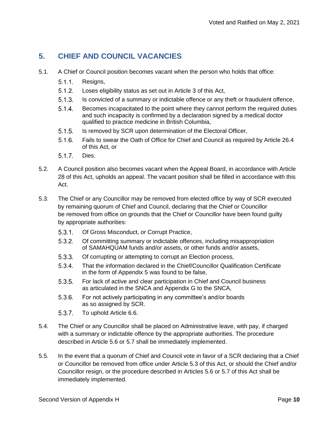#### **5. CHIEF AND COUNCIL VACANCIES**

- 5.1. A Chief or Council position becomes vacant when the person who holds that office:
	- $5.1.1.$ Resigns,
	- $5.1.2.$ Loses eligibility status as set out in Article 3 of this Act,
	- $5.1.3.$ Is convicted of a summary or indictable offence or any theft or fraudulent offence,
	- $5.1.4.$ Becomes incapacitated to the point where they cannot perform the required duties and such incapacity is confirmed by a declaration signed by a medical doctor qualified to practice medicine in British Columbia,
	- $5.1.5.$ Is removed by SCR upon determination of the Electoral Officer,
	- $5.1.6.$ Fails to swear the Oath of Office for Chief and Council as required by Article 26.4 of this Act, or
	- $5.1.7.$ Dies.
- 5.2. A Council position also becomes vacant when the Appeal Board, in accordance with Article 28 of this Act, upholds an appeal. The vacant position shall be filled in accordance with this Act.
- 5.3. The Chief or any Councillor may be removed from elected office by way of SCR executed by remaining quorum of Chief and Council, declaring that the Chief or Councillor be removed from office on grounds that the Chief or Councillor have been found guilty by appropriate authorities:
	- $5.3.1.$ Of Gross Misconduct, or Corrupt Practice,
	- 5.3.2 Of committing summary or indictable offences, including misappropriation of SAMAHQUAM funds and/or assets, or other funds and/or assets,
	- $5.3.3.$ Of corrupting or attempting to corrupt an Election process,
	- $5.3.4.$ That the information declared in the Chief/Councillor Qualification Certificate in the form of Appendix 5 was found to be false,
	- $5.3.5.$ For lack of active and clear participation in Chief and Council business as articulated in the SNCA and Appendix G to the SNCA,
	- $5.3.6.$ For not actively participating in any committee's and/or boards as so assigned by SCR.
	- $5.3.7.$ To uphold Article 6.6.
- 5.4. The Chief or any Councillor shall be placed on Administrative leave, with pay, if charged with a summary or indictable offence by the appropriate authorities. The procedure described in Article 5.6 or 5.7 shall be immediately implemented.
- 5.5. In the event that a quorum of Chief and Council vote in favor of a SCR declaring that a Chief or Councillor be removed from office under Article 5.3 of this Act, or should the Chief and/or Councillor resign, or the procedure described in Articles 5.6 or 5.7 of this Act shall be immediately implemented.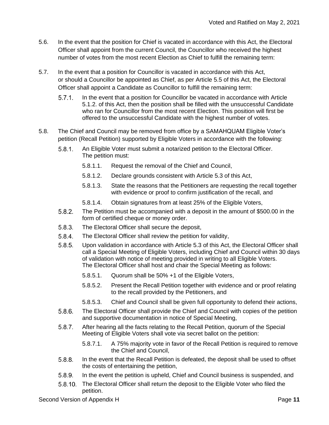- 5.6. In the event that the position for Chief is vacated in accordance with this Act, the Electoral Officer shall appoint from the current Council, the Councillor who received the highest number of votes from the most recent Election as Chief to fulfill the remaining term:
- 5.7. In the event that a position for Councillor is vacated in accordance with this Act, or should a Councillor be appointed as Chief, as per Article 5.5 of this Act, the Electoral Officer shall appoint a Candidate as Councillor to fulfill the remaining term:
	- In the event that a position for Councillor be vacated in accordance with Article  $5.7.1.$ 5.1.2. of this Act, then the position shall be filled with the unsuccessful Candidate who ran for Councillor from the most recent Election. This position will first be offered to the unsuccessful Candidate with the highest number of votes.
- 5.8. The Chief and Council may be removed from office by a SAMAHQUAM Eligible Voter's petition (Recall Petition) supported by Eligible Voters in accordance with the following:
	- $5.8.1.$ An Eligible Voter must submit a notarized petition to the Electoral Officer. The petition must:
		- 5.8.1.1. Request the removal of the Chief and Council,
		- 5.8.1.2. Declare grounds consistent with Article 5.3 of this Act,
		- 5.8.1.3. State the reasons that the Petitioners are requesting the recall together with evidence or proof to confirm justification of the recall, and
		- 5.8.1.4. Obtain signatures from at least 25% of the Eligible Voters,
	- $5.8.2.$ The Petition must be accompanied with a deposit in the amount of \$500.00 in the form of certified cheque or money order.
	- $5.8.3.$ The Electoral Officer shall secure the deposit,
	- $5.8.4.$ The Electoral Officer shall review the petition for validity,
	- $5.8.5.$ Upon validation in accordance with Article 5.3 of this Act, the Electoral Officer shall call a Special Meeting of Eligible Voters, including Chief and Council within 30 days of validation with notice of meeting provided in writing to all Eligible Voters. The Electoral Officer shall host and chair the Special Meeting as follows:
		- 5.8.5.1. Quorum shall be 50% +1 of the Eligible Voters,
		- 5.8.5.2. Present the Recall Petition together with evidence and or proof relating to the recall provided by the Petitioners, and
		- 5.8.5.3. Chief and Council shall be given full opportunity to defend their actions,
	- $5.8.6.$ The Electoral Officer shall provide the Chief and Council with copies of the petition and supportive documentation in notice of Special Meeting,
	- After hearing all the facts relating to the Recall Petition, quorum of the Special  $5.8.7.$ Meeting of Eligible Voters shall vote via secret ballot on the petition:
		- 5.8.7.1. A 75% majority vote in favor of the Recall Petition is required to remove the Chief and Council,
	- $5.8.8.$ In the event that the Recall Petition is defeated, the deposit shall be used to offset the costs of entertaining the petition,
	- $5.8.9.$ In the event the petition is upheld, Chief and Council business is suspended, and
	- $5.8.10.$ The Electoral Officer shall return the deposit to the Eligible Voter who filed the petition.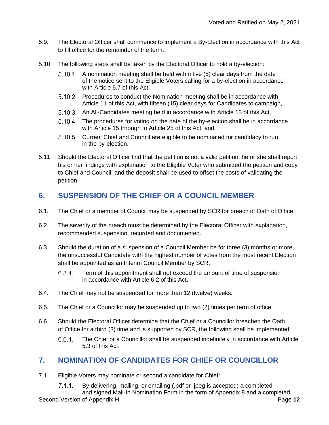- 5.9. The Electoral Officer shall commence to implement a By-Election in accordance with this Act to fill office for the remainder of the term.
- 5.10. The following steps shall be taken by the Electoral Officer to hold a by-election:
	- 5.10.1. A nomination meeting shall be held within five (5) clear days from the date of the notice sent to the Eligible Voters calling for a by-election in accordance with Article 5.7 of this Act,
	- 5.10.2. Procedures to conduct the Nomination meeting shall be in accordance with Article 11 of this Act, with fifteen (15) clear days for Candidates to campaign,
	- 5.10.3. An All-Candidates meeting held in accordance with Article 13 of this Act,
	- 5.10.4. The procedures for voting on the date of the by-election shall be in accordance with Article 15 through to Article 25 of this Act, and
	- 5.10.5. Current Chief and Council are eligible to be nominated for candidacy to run in the by-election.
- 5.11. Should the Electoral Officer find that the petition is not a valid petition, he or she shall report his or her findings with explanation to the Eligible Voter who submitted the petition and copy to Chief and Council, and the deposit shall be used to offset the costs of validating the petition.

#### **6. SUSPENSION OF THE CHIEF OR A COUNCIL MEMBER**

- 6.1. The Chief or a member of Council may be suspended by SCR for breach of Oath of Office.
- 6.2. The severity of the breach must be determined by the Electoral Officer with explanation, recommended suspension, recorded and documented.
- 6.3. Should the duration of a suspension of a Council Member be for three (3) months or more, the unsuccessful Candidate with the highest number of votes from the most recent Election shall be appointed as an Interim Council Member by SCR:
	- $6.3.1.$ Term of this appointment shall not exceed the amount of time of suspension in accordance with Article 6.2 of this Act.
- 6.4. The Chief may not be suspended for more than 12 (twelve) weeks.
- 6.5. The Chief or a Councillor may be suspended up to two (2) times per term of office.
- 6.6. Should the Electoral Officer determine that the Chief or a Councillor breached the Oath of Office for a third (3) time and is supported by SCR, the following shall be implemented:
	- $6.6.1.$ The Chief or a Councillor shall be suspended indefinitely in accordance with Article 5.3 of this Act.

#### **7. NOMINATION OF CANDIDATES FOR CHIEF OR COUNCILLOR**

- 7.1. Eligible Voters may nominate or second a candidate for Chief:
- By delivering, mailing, or emailing (.pdf or .jpeg is accepted) a completed  $7.1.1.$ and signed Mail-In Nomination Form in the form of Appendix 8 and a completed Second Version of Appendix H **Page 12**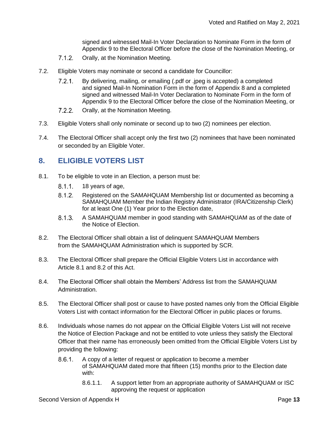signed and witnessed Mail-In Voter Declaration to Nominate Form in the form of Appendix 9 to the Electoral Officer before the close of the Nomination Meeting, or

- $7.1.2.$ Orally, at the Nomination Meeting.
- 7.2. Eligible Voters may nominate or second a candidate for Councillor:
	- $7.2.1.$ By delivering, mailing, or emailing (.pdf or .jpeg is accepted) a completed and signed Mail-In Nomination Form in the form of Appendix 8 and a completed signed and witnessed Mail-In Voter Declaration to Nominate Form in the form of Appendix 9 to the Electoral Officer before the close of the Nomination Meeting, or
	- $7.2.2.$ Orally, at the Nomination Meeting.
- 7.3. Eligible Voters shall only nominate or second up to two (2) nominees per election.
- 7.4. The Electoral Officer shall accept only the first two (2) nominees that have been nominated or seconded by an Eligible Voter.

#### **8. ELIGIBLE VOTERS LIST**

- 8.1. To be eligible to vote in an Election, a person must be:
	- $8.1.1.$ 18 years of age,
	- $8.1.2.$ Registered on the SAMAHQUAM Membership list or documented as becoming a SAMAHQUAM Member the Indian Registry Administrator (IRA/Citizenship Clerk) for at least One (1) Year prior to the Election date,
	- $8.1.3.$ A SAMAHQUAM member in good standing with SAMAHQUAM as of the date of the Notice of Election.
- 8.2. The Electoral Officer shall obtain a list of delinquent SAMAHQUAM Members from the SAMAHQUAM Administration which is supported by SCR.
- 8.3. The Electoral Officer shall prepare the Official Eligible Voters List in accordance with Article 8.1 and 8.2 of this Act.
- 8.4. The Electoral Officer shall obtain the Members' Address list from the SAMAHQUAM Administration.
- 8.5. The Electoral Officer shall post or cause to have posted names only from the Official Eligible Voters List with contact information for the Electoral Officer in public places or forums.
- 8.6. Individuals whose names do not appear on the Official Eligible Voters List will not receive the Notice of Election Package and not be entitled to vote unless they satisfy the Electoral Officer that their name has erroneously been omitted from the Official Eligible Voters List by providing the following:
	- A copy of a letter of request or application to become a member  $8.6.1.$ of SAMAHQUAM dated more that fifteen (15) months prior to the Election date with:
		- 8.6.1.1. A support letter from an appropriate authority of SAMAHQUAM or ISC approving the request or application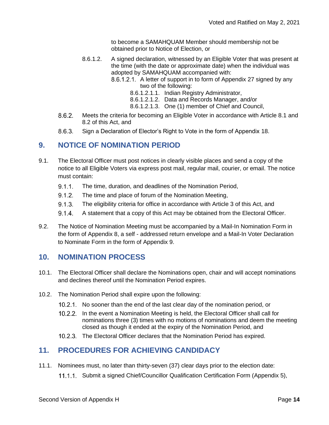to become a SAMAHQUAM Member should membership not be obtained prior to Notice of Election, or

- 8.6.1.2. A signed declaration, witnessed by an Eligible Voter that was present at the time (with the date or approximate date) when the individual was adopted by SAMAHQUAM accompanied with:
	- 8.6.1.2.1. A letter of support in to form of Appendix 27 signed by any two of the following:
		- 8.6.1.2.1.1. Indian Registry Administrator,
		- 8.6.1.2.1.2. Data and Records Manager, and/or
		- 8.6.1.2.1.3. One (1) member of Chief and Council,
- $8.6.2.$ Meets the criteria for becoming an Eligible Voter in accordance with Article 8.1 and 8.2 of this Act, and
- $8.6.3.$ Sign a Declaration of Elector's Right to Vote in the form of Appendix 18.

#### **9. NOTICE OF NOMINATION PERIOD**

- 9.1. The Electoral Officer must post notices in clearly visible places and send a copy of the notice to all Eligible Voters via express post mail, regular mail, courier, or email. The notice must contain:
	- $9.1.1$ . The time, duration, and deadlines of the Nomination Period,
	- $9.1.2.$ The time and place of forum of the Nomination Meeting,
	- $9.1.3.$ The eligibility criteria for office in accordance with Article 3 of this Act, and
	- $9.1.4$ A statement that a copy of this Act may be obtained from the Electoral Officer.
- 9.2. The Notice of Nomination Meeting must be accompanied by a Mail-In Nomination Form in the form of Appendix 8, a self - addressed return envelope and a Mail-In Voter Declaration to Nominate Form in the form of Appendix 9.

#### **10. NOMINATION PROCESS**

- 10.1. The Electoral Officer shall declare the Nominations open, chair and will accept nominations and declines thereof until the Nomination Period expires.
- 10.2. The Nomination Period shall expire upon the following:
	- 10.2.1. No sooner than the end of the last clear day of the nomination period, or
	- 10.2.2. In the event a Nomination Meeting is held, the Electoral Officer shall call for nominations three (3) times with no motions of nominations and deem the meeting closed as though it ended at the expiry of the Nomination Period, and
	- 10.2.3. The Electoral Officer declares that the Nomination Period has expired.

#### **11. PROCEDURES FOR ACHIEVING CANDIDACY**

- 11.1. Nominees must, no later than thirty-seven (37) clear days prior to the election date:
	- 11.1.1. Submit a signed Chief/Councillor Qualification Certification Form (Appendix 5),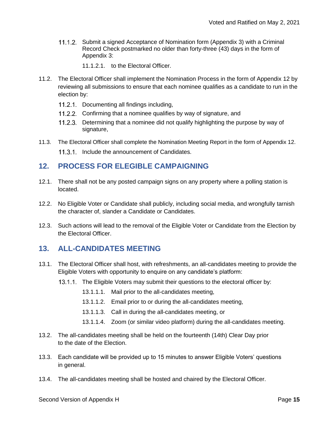11.1.2. Submit a signed Acceptance of Nomination form (Appendix 3) with a Criminal Record Check postmarked no older than forty-three (43) days in the form of Appendix 3:

11.1.2.1. to the Electoral Officer.

- 11.2. The Electoral Officer shall implement the Nomination Process in the form of Appendix 12 by reviewing all submissions to ensure that each nominee qualifies as a candidate to run in the election by:
	- 11.2.1. Documenting all findings including,
	- 11.2.2. Confirming that a nominee qualifies by way of signature, and
	- 11.2.3. Determining that a nominee did not qualify highlighting the purpose by way of signature,
- 11.3. The Electoral Officer shall complete the Nomination Meeting Report in the form of Appendix 12. 11.3.1. Include the announcement of Candidates.

#### **12. PROCESS FOR ELEGIBLE CAMPAIGNING**

- 12.1. There shall not be any posted campaign signs on any property where a polling station is located.
- 12.2. No Eligible Voter or Candidate shall publicly, including social media, and wrongfully tarnish the character of, slander a Candidate or Candidates.
- 12.3. Such actions will lead to the removal of the Eligible Voter or Candidate from the Election by the Electoral Officer.

#### **13. ALL-CANDIDATES MEETING**

- 13.1. The Electoral Officer shall host, with refreshments, an all-candidates meeting to provide the Eligible Voters with opportunity to enquire on any candidate's platform:
	- 13.1.1. The Eligible Voters may submit their questions to the electoral officer by:
		- 13.1.1.1. Mail prior to the all-candidates meeting,
		- 13.1.1.2. Email prior to or during the all-candidates meeting,
		- 13.1.1.3. Call in during the all-candidates meeting, or
		- 13.1.1.4. Zoom (or similar video platform) during the all-candidates meeting.
- 13.2. The all-candidates meeting shall be held on the fourteenth (14th) Clear Day prior to the date of the Election.
- 13.3. Each candidate will be provided up to 15 minutes to answer Eligible Voters' questions in general.
- 13.4. The all-candidates meeting shall be hosted and chaired by the Electoral Officer.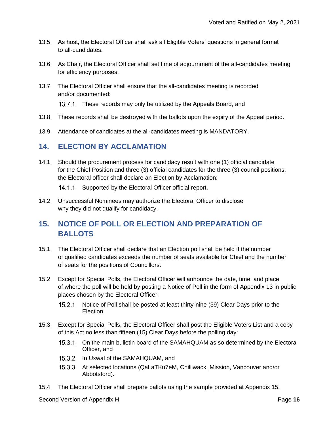- 13.5. As host, the Electoral Officer shall ask all Eligible Voters' questions in general format to all-candidates.
- 13.6. As Chair, the Electoral Officer shall set time of adjournment of the all-candidates meeting for efficiency purposes.
- 13.7. The Electoral Officer shall ensure that the all-candidates meeting is recorded and/or documented:

13.7.1. These records may only be utilized by the Appeals Board, and

- 13.8. These records shall be destroyed with the ballots upon the expiry of the Appeal period.
- 13.9. Attendance of candidates at the all-candidates meeting is MANDATORY.

#### **14. ELECTION BY ACCLAMATION**

14.1. Should the procurement process for candidacy result with one (1) official candidate for the Chief Position and three (3) official candidates for the three (3) council positions, the Electoral officer shall declare an Election by Acclamation:

14.1.1. Supported by the Electoral Officer official report.

14.2. Unsuccessful Nominees may authorize the Electoral Officer to disclose why they did not qualify for candidacy.

#### **15. NOTICE OF POLL OR ELECTION AND PREPARATION OF BALLOTS**

- 15.1. The Electoral Officer shall declare that an Election poll shall be held if the number of qualified candidates exceeds the number of seats available for Chief and the number of seats for the positions of Councillors.
- 15.2. Except for Special Polls, the Electoral Officer will announce the date, time, and place of where the poll will be held by posting a Notice of Poll in the form of Appendix 13 in public places chosen by the Electoral Officer:
	- 15.2.1 Notice of Poll shall be posted at least thirty-nine (39) Clear Days prior to the Election.
- 15.3. Except for Special Polls, the Electoral Officer shall post the Eligible Voters List and a copy of this Act no less than fifteen (15) Clear Days before the polling day:
	- 15.3.1. On the main bulletin board of the SAMAHQUAM as so determined by the Electoral Officer, and
	- 15.3.2. In Uxwal of the SAMAHQUAM, and
	- At selected locations (QaLaTKu7eM, Chilliwack, Mission, Vancouver and/or Abbotsford).
- 15.4. The Electoral Officer shall prepare ballots using the sample provided at Appendix 15.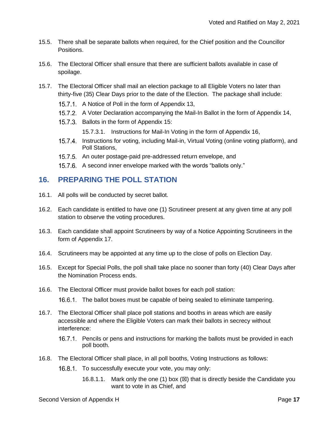- 15.5. There shall be separate ballots when required, for the Chief position and the Councillor Positions.
- 15.6. The Electoral Officer shall ensure that there are sufficient ballots available in case of spoilage.
- 15.7. The Electoral Officer shall mail an election package to all Eligible Voters no later than thirty-five (35) Clear Days prior to the date of the Election. The package shall include:
	- 15.7.1. A Notice of Poll in the form of Appendix 13,
	- A Voter Declaration accompanying the Mail-In Ballot in the form of Appendix 14,
	- 15.7.3. Ballots in the form of Appendix 15:
		- 15.7.3.1. Instructions for Mail-In Voting in the form of Appendix 16,
	- 15.7.4. Instructions for voting, including Mail-in, Virtual Voting (online voting platform), and Poll Stations,
	- 15.7.5. An outer postage-paid pre-addressed return envelope, and
	- 15.7.6. A second inner envelope marked with the words "ballots only."

#### **16. PREPARING THE POLL STATION**

- 16.1. All polls will be conducted by secret ballot.
- 16.2. Each candidate is entitled to have one (1) Scrutineer present at any given time at any poll station to observe the voting procedures.
- 16.3. Each candidate shall appoint Scrutineers by way of a Notice Appointing Scrutineers in the form of Appendix 17.
- 16.4. Scrutineers may be appointed at any time up to the close of polls on Election Day.
- 16.5. Except for Special Polls, the poll shall take place no sooner than forty (40) Clear Days after the Nomination Process ends.
- 16.6. The Electoral Officer must provide ballot boxes for each poll station:
	- 16.6.1. The ballot boxes must be capable of being sealed to eliminate tampering.
- 16.7. The Electoral Officer shall place poll stations and booths in areas which are easily accessible and where the Eligible Voters can mark their ballots in secrecy without interference:
	- 16.7.1. Pencils or pens and instructions for marking the ballots must be provided in each poll booth.
- 16.8. The Electoral Officer shall place, in all poll booths, Voting Instructions as follows:
	- 16.8.1. To successfully execute your vote, you may only:
		- 16.8.1.1. Mark only the one (1) box  $(\boxtimes)$  that is directly beside the Candidate you want to vote in as Chief, and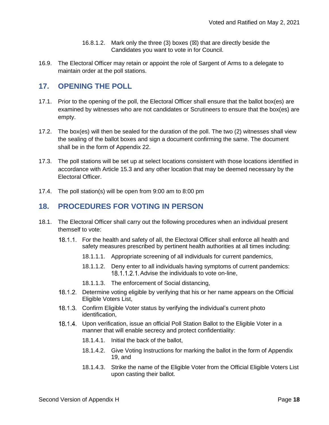- 16.8.1.2. Mark only the three (3) boxes  $(\boxtimes)$  that are directly beside the Candidates you want to vote in for Council.
- 16.9. The Electoral Officer may retain or appoint the role of Sargent of Arms to a delegate to maintain order at the poll stations.

#### **17. OPENING THE POLL**

- 17.1. Prior to the opening of the poll, the Electoral Officer shall ensure that the ballot box(es) are examined by witnesses who are not candidates or Scrutineers to ensure that the box(es) are empty.
- 17.2. The box(es) will then be sealed for the duration of the poll. The two (2) witnesses shall view the sealing of the ballot boxes and sign a document confirming the same. The document shall be in the form of Appendix 22.
- 17.3. The poll stations will be set up at select locations consistent with those locations identified in accordance with Article 15.3 and any other location that may be deemed necessary by the Electoral Officer.
- 17.4. The poll station(s) will be open from 9:00 am to 8:00 pm

#### **18. PROCEDURES FOR VOTING IN PERSON**

- 18.1. The Electoral Officer shall carry out the following procedures when an individual present themself to vote:
	- 18.1.1. For the health and safety of all, the Electoral Officer shall enforce all health and safety measures prescribed by pertinent health authorities at all times including:
		- 18.1.1.1. Appropriate screening of all individuals for current pandemics,
		- 18.1.1.2. Deny enter to all individuals having symptoms of current pandemics: 18.1.1.2.1. Advise the individuals to vote on-line.
		- 18.1.1.3. The enforcement of Social distancing,
	- 18.1.2. Determine voting eligible by verifying that his or her name appears on the Official Eligible Voters List,
	- 18.1.3. Confirm Eligible Voter status by verifying the individual's current photo identification,
	- 18.1.4. Upon verification, issue an official Poll Station Ballot to the Eligible Voter in a manner that will enable secrecy and protect confidentiality:
		- 18.1.4.1. Initial the back of the ballot,
		- 18.1.4.2. Give Voting Instructions for marking the ballot in the form of Appendix 19, and
		- 18.1.4.3. Strike the name of the Eligible Voter from the Official Eligible Voters List upon casting their ballot.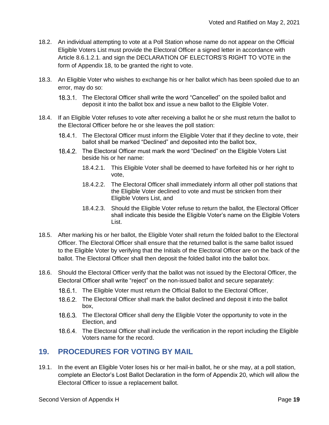- 18.2. An individual attempting to vote at a Poll Station whose name do not appear on the Official Eligible Voters List must provide the Electoral Officer a signed letter in accordance with Article 8.6.1.2.1. and sign the DECLARATION OF ELECTORS'S RIGHT TO VOTE in the form of Appendix 18, to be granted the right to vote.
- 18.3. An Eligible Voter who wishes to exchange his or her ballot which has been spoiled due to an error, may do so:
	- 18.3.1. The Electoral Officer shall write the word "Cancelled" on the spoiled ballot and deposit it into the ballot box and issue a new ballot to the Eligible Voter.
- 18.4. If an Eligible Voter refuses to vote after receiving a ballot he or she must return the ballot to the Electoral Officer before he or she leaves the poll station:
	- 18.4.1. The Electoral Officer must inform the Eligible Voter that if they decline to vote, their ballot shall be marked "Declined" and deposited into the ballot box,
	- 18.4.2. The Electoral Officer must mark the word "Declined" on the Eligible Voters List beside his or her name:
		- 18.4.2.1. This Eligible Voter shall be deemed to have forfeited his or her right to vote,
		- 18.4.2.2. The Electoral Officer shall immediately inform all other poll stations that the Eligible Voter declined to vote and must be stricken from their Eligible Voters List, and
		- 18.4.2.3. Should the Eligible Voter refuse to return the ballot, the Electoral Officer shall indicate this beside the Eligible Voter's name on the Eligible Voters List.
- 18.5. After marking his or her ballot, the Eligible Voter shall return the folded ballot to the Electoral Officer. The Electoral Officer shall ensure that the returned ballot is the same ballot issued to the Eligible Voter by verifying that the Initials of the Electoral Officer are on the back of the ballot. The Electoral Officer shall then deposit the folded ballot into the ballot box.
- 18.6. Should the Electoral Officer verify that the ballot was not issued by the Electoral Officer, the Electoral Officer shall write "reject" on the non-issued ballot and secure separately:
	- 18.6.1. The Eligible Voter must return the Official Ballot to the Electoral Officer,
	- 18.6.2. The Electoral Officer shall mark the ballot declined and deposit it into the ballot box,
	- 18.6.3. The Electoral Officer shall deny the Eligible Voter the opportunity to vote in the Election, and
	- 18.6.4. The Electoral Officer shall include the verification in the report including the Eligible Voters name for the record.

#### **19. PROCEDURES FOR VOTING BY MAIL**

19.1. In the event an Eligible Voter loses his or her mail-in ballot, he or she may, at a poll station, complete an Elector's Lost Ballot Declaration in the form of Appendix 20, which will allow the Electoral Officer to issue a replacement ballot.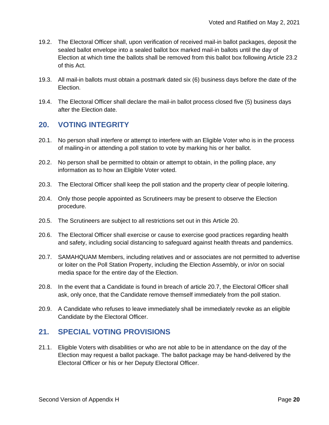- 19.2. The Electoral Officer shall, upon verification of received mail-in ballot packages, deposit the sealed ballot envelope into a sealed ballot box marked mail-in ballots until the day of Election at which time the ballots shall be removed from this ballot box following Article 23.2 of this Act.
- 19.3. All mail-in ballots must obtain a postmark dated six (6) business days before the date of the Election.
- 19.4. The Electoral Officer shall declare the mail-in ballot process closed five (5) business days after the Election date.

#### **20. VOTING INTEGRITY**

- 20.1. No person shall interfere or attempt to interfere with an Eligible Voter who is in the process of mailing-in or attending a poll station to vote by marking his or her ballot.
- 20.2. No person shall be permitted to obtain or attempt to obtain, in the polling place, any information as to how an Eligible Voter voted.
- 20.3. The Electoral Officer shall keep the poll station and the property clear of people loitering.
- 20.4. Only those people appointed as Scrutineers may be present to observe the Election procedure.
- 20.5. The Scrutineers are subject to all restrictions set out in this Article 20.
- 20.6. The Electoral Officer shall exercise or cause to exercise good practices regarding health and safety, including social distancing to safeguard against health threats and pandemics.
- 20.7. SAMAHQUAM Members, including relatives and or associates are not permitted to advertise or loiter on the Poll Station Property, including the Election Assembly, or in/or on social media space for the entire day of the Election.
- 20.8. In the event that a Candidate is found in breach of article 20.7, the Electoral Officer shall ask, only once, that the Candidate remove themself immediately from the poll station.
- 20.9. A Candidate who refuses to leave immediately shall be immediately revoke as an eligible Candidate by the Electoral Officer.

#### **21. SPECIAL VOTING PROVISIONS**

21.1. Eligible Voters with disabilities or who are not able to be in attendance on the day of the Election may request a ballot package. The ballot package may be hand-delivered by the Electoral Officer or his or her Deputy Electoral Officer.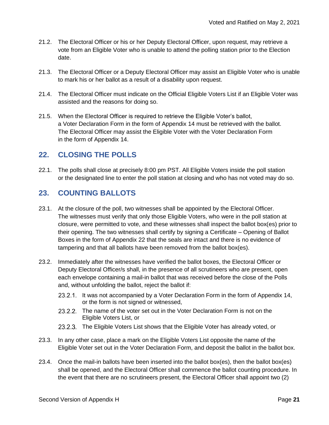- 21.2. The Electoral Officer or his or her Deputy Electoral Officer, upon request, may retrieve a vote from an Eligible Voter who is unable to attend the polling station prior to the Election date.
- 21.3. The Electoral Officer or a Deputy Electoral Officer may assist an Eligible Voter who is unable to mark his or her ballot as a result of a disability upon request.
- 21.4. The Electoral Officer must indicate on the Official Eligible Voters List if an Eligible Voter was assisted and the reasons for doing so.
- 21.5. When the Electoral Officer is required to retrieve the Eligible Voter's ballot, a Voter Declaration Form in the form of Appendix 14 must be retrieved with the ballot. The Electoral Officer may assist the Eligible Voter with the Voter Declaration Form in the form of Appendix 14.

#### **22. CLOSING THE POLLS**

22.1. The polls shall close at precisely 8:00 pm PST. All Eligible Voters inside the poll station or the designated line to enter the poll station at closing and who has not voted may do so.

#### **23. COUNTING BALLOTS**

- 23.1. At the closure of the poll, two witnesses shall be appointed by the Electoral Officer. The witnesses must verify that only those Eligible Voters, who were in the poll station at closure, were permitted to vote, and these witnesses shall inspect the ballot box(es) prior to their opening. The two witnesses shall certify by signing a Certificate – Opening of Ballot Boxes in the form of Appendix 22 that the seals are intact and there is no evidence of tampering and that all ballots have been removed from the ballot box(es).
- 23.2. Immediately after the witnesses have verified the ballot boxes, the Electoral Officer or Deputy Electoral Officer/s shall, in the presence of all scrutineers who are present, open each envelope containing a mail-in ballot that was received before the close of the Polls and, without unfolding the ballot, reject the ballot if:
	- 23.2.1. It was not accompanied by a Voter Declaration Form in the form of Appendix 14, or the form is not signed or witnessed,
	- 23.2.2. The name of the voter set out in the Voter Declaration Form is not on the Eligible Voters List, or
	- 23.2.3. The Eligible Voters List shows that the Eligible Voter has already voted, or
- 23.3. In any other case, place a mark on the Eligible Voters List opposite the name of the Eligible Voter set out in the Voter Declaration Form, and deposit the ballot in the ballot box.
- 23.4. Once the mail-in ballots have been inserted into the ballot box(es), then the ballot box(es) shall be opened, and the Electoral Officer shall commence the ballot counting procedure. In the event that there are no scrutineers present, the Electoral Officer shall appoint two (2)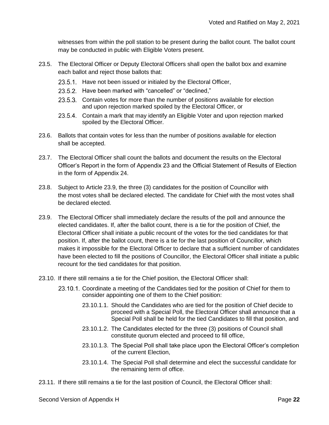witnesses from within the poll station to be present during the ballot count. The ballot count may be conducted in public with Eligible Voters present.

- 23.5. The Electoral Officer or Deputy Electoral Officers shall open the ballot box and examine each ballot and reject those ballots that:
	- 23.5.1. Have not been issued or initialed by the Electoral Officer,
	- 23.5.2. Have been marked with "cancelled" or "declined,"
	- 23.5.3. Contain votes for more than the number of positions available for election and upon rejection marked spoiled by the Electoral Officer, or
	- 23.5.4. Contain a mark that may identify an Eligible Voter and upon rejection marked spoiled by the Electoral Officer.
- 23.6. Ballots that contain votes for less than the number of positions available for election shall be accepted.
- 23.7. The Electoral Officer shall count the ballots and document the results on the Electoral Officer's Report in the form of Appendix 23 and the Official Statement of Results of Election in the form of Appendix 24.
- 23.8. Subject to Article 23.9, the three (3) candidates for the position of Councillor with the most votes shall be declared elected. The candidate for Chief with the most votes shall be declared elected.
- 23.9. The Electoral Officer shall immediately declare the results of the poll and announce the elected candidates. If, after the ballot count, there is a tie for the position of Chief, the Electoral Officer shall initiate a public recount of the votes for the tied candidates for that position. If, after the ballot count, there is a tie for the last position of Councillor, which makes it impossible for the Electoral Officer to declare that a sufficient number of candidates have been elected to fill the positions of Councillor, the Electoral Officer shall initiate a public recount for the tied candidates for that position.
- 23.10. If there still remains a tie for the Chief position, the Electoral Officer shall:
	- 23.10.1. Coordinate a meeting of the Candidates tied for the position of Chief for them to consider appointing one of them to the Chief position:
		- 23.10.1.1. Should the Candidates who are tied for the position of Chief decide to proceed with a Special Poll, the Electoral Officer shall announce that a Special Poll shall be held for the tied Candidates to fill that position, and
		- 23.10.1.2. The Candidates elected for the three (3) positions of Council shall constitute quorum elected and proceed to fill office,
		- 23.10.1.3. The Special Poll shall take place upon the Electoral Officer's completion of the current Election,
		- 23.10.1.4. The Special Poll shall determine and elect the successful candidate for the remaining term of office.
- 23.11. If there still remains a tie for the last position of Council, the Electoral Officer shall: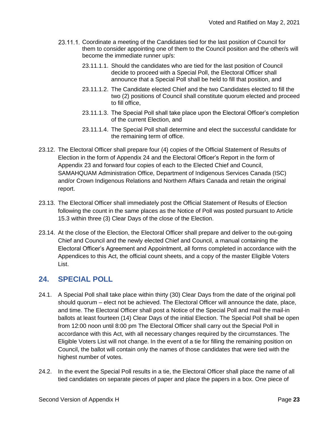- 23.11.1. Coordinate a meeting of the Candidates tied for the last position of Council for them to consider appointing one of them to the Council position and the other/s will become the immediate runner up/s:
	- 23.11.1.1. Should the candidates who are tied for the last position of Council decide to proceed with a Special Poll, the Electoral Officer shall announce that a Special Poll shall be held to fill that position, and
	- 23.11.1.2. The Candidate elected Chief and the two Candidates elected to fill the two (2) positions of Council shall constitute quorum elected and proceed to fill office,
	- 23.11.1.3. The Special Poll shall take place upon the Electoral Officer's completion of the current Election, and
	- 23.11.1.4. The Special Poll shall determine and elect the successful candidate for the remaining term of office.
- 23.12. The Electoral Officer shall prepare four (4) copies of the Official Statement of Results of Election in the form of Appendix 24 and the Electoral Officer's Report in the form of Appendix 23 and forward four copies of each to the Elected Chief and Council, SAMAHQUAM Administration Office, Department of Indigenous Services Canada (ISC) and/or Crown Indigenous Relations and Northern Affairs Canada and retain the original report.
- 23.13. The Electoral Officer shall immediately post the Official Statement of Results of Election following the count in the same places as the Notice of Poll was posted pursuant to Article 15.3 within three (3) Clear Days of the close of the Election.
- 23.14. At the close of the Election, the Electoral Officer shall prepare and deliver to the out-going Chief and Council and the newly elected Chief and Council, a manual containing the Electoral Officer's Agreement and Appointment, all forms completed in accordance with the Appendices to this Act, the official count sheets, and a copy of the master Eligible Voters List.

#### **24. SPECIAL POLL**

- 24.1. A Special Poll shall take place within thirty (30) Clear Days from the date of the original poll should quorum – elect not be achieved. The Electoral Officer will announce the date, place, and time. The Electoral Officer shall post a Notice of the Special Poll and mail the mail-in ballots at least fourteen (14) Clear Days of the initial Election. The Special Poll shall be open from 12:00 noon until 8:00 pm The Electoral Officer shall carry out the Special Poll in accordance with this Act, with all necessary changes required by the circumstances. The Eligible Voters List will not change. In the event of a tie for filling the remaining position on Council, the ballot will contain only the names of those candidates that were tied with the highest number of votes.
- 24.2. In the event the Special Poll results in a tie, the Electoral Officer shall place the name of all tied candidates on separate pieces of paper and place the papers in a box. One piece of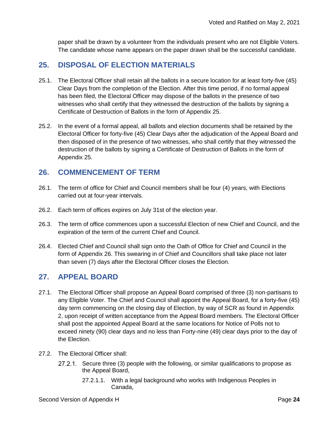paper shall be drawn by a volunteer from the individuals present who are not Eligible Voters. The candidate whose name appears on the paper drawn shall be the successful candidate.

#### **25. DISPOSAL OF ELECTION MATERIALS**

- 25.1. The Electoral Officer shall retain all the ballots in a secure location for at least forty-five (45) Clear Days from the completion of the Election. After this time period, if no formal appeal has been filed, the Electoral Officer may dispose of the ballots in the presence of two witnesses who shall certify that they witnessed the destruction of the ballots by signing a Certificate of Destruction of Ballots in the form of Appendix 25.
- 25.2. In the event of a formal appeal, all ballots and election documents shall be retained by the Electoral Officer for forty-five (45) Clear Days after the adjudication of the Appeal Board and then disposed of in the presence of two witnesses, who shall certify that they witnessed the destruction of the ballots by signing a Certificate of Destruction of Ballots in the form of Appendix 25.

#### **26. COMMENCEMENT OF TERM**

- 26.1. The term of office for Chief and Council members shall be four (4) years, with Elections carried out at four-year intervals.
- 26.2. Each term of offices expires on July 31st of the election year.
- 26.3. The term of office commences upon a successful Election of new Chief and Council, and the expiration of the term of the current Chief and Council.
- 26.4. Elected Chief and Council shall sign onto the Oath of Office for Chief and Council in the form of Appendix 26. This swearing in of Chief and Councillors shall take place not later than seven (7) days after the Electoral Officer closes the Election.

#### **27. APPEAL BOARD**

- 27.1. The Electoral Officer shall propose an Appeal Board comprised of three (3) non-partisans to any Eligible Voter. The Chief and Council shall appoint the Appeal Board, for a forty-five (45) day term commencing on the closing day of Election, by way of SCR as found in Appendix 2, upon receipt of written acceptance from the Appeal Board members. The Electoral Officer shall post the appointed Appeal Board at the same locations for Notice of Polls not to exceed ninety (90) clear days and no less than Forty-nine (49) clear days prior to the day of the Election.
- 27.2. The Electoral Officer shall:
	- 27.2.1. Secure three (3) people with the following, or similar qualifications to propose as the Appeal Board,
		- 27.2.1.1. With a legal background who works with Indigenous Peoples in Canada,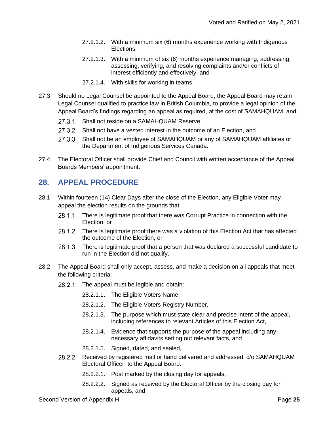- 27.2.1.2. With a minimum six (6) months experience working with Indigenous Elections,
- 27.2.1.3. With a minimum of six (6) months experience managing, addressing, assessing, verifying, and resolving complaints and/or conflicts of interest efficiently and effectively, and
- 27.2.1.4. With skills for working in teams.
- 27.3. Should no Legal Counsel be appointed to the Appeal Board, the Appeal Board may retain Legal Counsel qualified to practice law in British Columbia, to provide a legal opinion of the Appeal Board's findings regarding an appeal as required, at the cost of SAMAHQUAM, and:
	- 27.3.1. Shall not reside on a SAMAHQUAM Reserve,
	- 27.3.2. Shall not have a vested interest in the outcome of an Election, and
	- 27.3.3. Shall not be an employee of SAMAHQUAM or any of SAMAHQUAM affiliates or the Department of Indigenous Services Canada.
- 27.4. The Electoral Officer shall provide Chief and Council with written acceptance of the Appeal Boards Members' appointment.

#### **28. APPEAL PROCEDURE**

- 28.1. Within fourteen (14) Clear Days after the close of the Election, any Eligible Voter may appeal the election results on the grounds that:
	- 28.1.1. There is legitimate proof that there was Corrupt Practice in connection with the Election, or
	- 28.1.2. There is legitimate proof there was a violation of this Election Act that has affected the outcome of the Election, or
	- 28.1.3. There is legitimate proof that a person that was declared a successful candidate to run in the Election did not qualify.
- 28.2. The Appeal Board shall only accept, assess, and make a decision on all appeals that meet the following criteria:
	- 28.2.1. The appeal must be legible and obtain:
		- 28.2.1.1. The Eligible Voters Name,
		- 28.2.1.2. The Eligible Voters Registry Number,
		- 28.2.1.3. The purpose which must state clear and precise intent of the appeal, including references to relevant Articles of this Election Act,
		- 28.2.1.4. Evidence that supports the purpose of the appeal including any necessary affidavits setting out relevant facts, and
		- 28.2.1.5. Signed, dated, and sealed,
	- 28.2.2. Received by registered mail or hand delivered and addressed, c/o SAMAHQUAM Electoral Officer, to the Appeal Board:
		- 28.2.2.1. Post marked by the closing day for appeals,
		- 28.2.2.2. Signed as received by the Electoral Officer by the closing day for appeals, and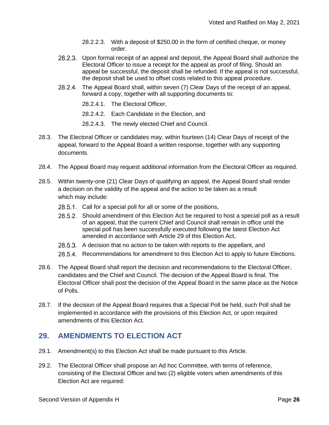- 28.2.2.3. With a deposit of \$250.00 in the form of certified cheque, or money order.
- 28.2.3. Upon formal receipt of an appeal and deposit, the Appeal Board shall authorize the Electoral Officer to issue a receipt for the appeal as proof of filing. Should an appeal be successful, the deposit shall be refunded. If the appeal is not successful, the deposit shall be used to offset costs related to this appeal procedure.
- The Appeal Board shall, within seven (7) Clear Days of the receipt of an appeal,  $28.2.4$ forward a copy, together with all supporting documents to:

28.2.4.1. The Electoral Officer,

28.2.4.2. Each Candidate in the Election, and

- 28.2.4.3. The newly elected Chief and Council.
- 28.3. The Electoral Officer or candidates may, within fourteen (14) Clear Days of receipt of the appeal, forward to the Appeal Board a written response, together with any supporting documents.
- 28.4. The Appeal Board may request additional information from the Electoral Officer as required.
- 28.5. Within twenty-one (21) Clear Days of qualifying an appeal, the Appeal Board shall render a decision on the validity of the appeal and the action to be taken as a result which may include:
	- 28.5.1. Call for a special poll for all or some of the positions,
	- 28.5.2. Should amendment of this Election Act be required to host a special poll as a result of an appeal, that the current Chief and Council shall remain in office until the special poll has been successfully executed following the latest Election Act amended in accordance with Article 29 of this Election Act,
	- 28.5.3. A decision that no action to be taken with reports to the appellant, and
	- 28.5.4. Recommendations for amendment to this Election Act to apply to future Elections.
- 28.6. The Appeal Board shall report the decision and recommendations to the Electoral Officer, candidates and the Chief and Council. The decision of the Appeal Board is final. The Electoral Officer shall post the decision of the Appeal Board in the same place as the Notice of Polls.
- 28.7. If the decision of the Appeal Board requires that a Special Poll be held, such Poll shall be implemented in accordance with the provisions of this Election Act, or upon required amendments of this Election Act.

#### **29. AMENDMENTS TO ELECTION ACT**

- 29.1. Amendment(s) to this Election Act shall be made pursuant to this Article.
- 29.2. The Electoral Officer shall propose an Ad hoc Committee, with terms of reference, consisting of the Electoral Officer and two (2) eligible voters when amendments of this Election Act are required: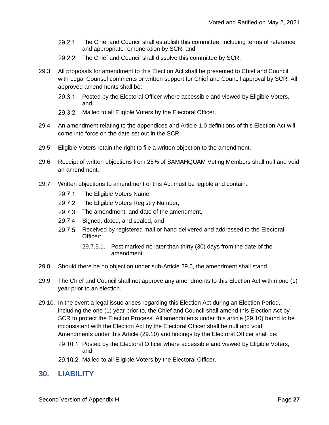- 29.2.1. The Chief and Council shall establish this committee, including terms of reference and appropriate remuneration by SCR, and
- 29.2.2. The Chief and Council shall dissolve this committee by SCR.
- 29.3. All proposals for amendment to this Election Act shall be presented to Chief and Council with Legal Counsel comments or written support for Chief and Council approval by SCR. All approved amendments shall be:
	- 29.3.1. Posted by the Electoral Officer where accessible and viewed by Eligible Voters, and
	- 29.3.2. Mailed to all Eligible Voters by the Electoral Officer.
- 29.4. An amendment relating to the appendices and Article 1.0 definitions of this Election Act will come into force on the date set out in the SCR.
- 29.5. Eligible Voters retain the right to file a written objection to the amendment.
- 29.6. Receipt of written objections from 25% of SAMAHQUAM Voting Members shall null and void an amendment.
- 29.7. Written objections to amendment of this Act must be legible and contain:
	- 29.7.1. The Eligible Voters Name,
	- 29.7.2. The Eligible Voters Registry Number,
	- 29.7.3. The amendment, and date of the amendment,
	- 29.7.4. Signed, dated, and sealed, and
	- 29.7.5. Received by registered mail or hand delivered and addressed to the Electoral Officer:
		- 29.7.5.1. Post marked no later than thirty (30) days from the date of the amendment.
- 29.8. Should there be no objection under sub-Article 29.6, the amendment shall stand.
- 29.9. The Chief and Council shall not approve any amendments to this Election Act within one (1) year prior to an election.
- 29.10. In the event a legal issue arises regarding this Election Act during an Election Period, including the one (1) year prior to, the Chief and Council shall amend this Election Act by SCR to protect the Election Process. All amendments under this article (29.10) found to be inconsistent with the Election Act by the Electoral Officer shall be null and void. Amendments under this Article (29.10) and findings by the Electoral Officer shall be:
	- 29.10.1. Posted by the Electoral Officer where accessible and viewed by Eligible Voters, and
	- 29.10.2. Mailed to all Eligible Voters by the Electoral Officer.

#### **30. LIABILITY**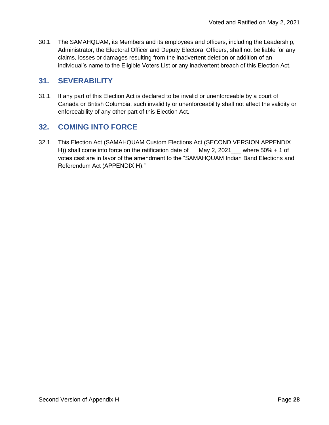30.1. The SAMAHQUAM, its Members and its employees and officers, including the Leadership, Administrator, the Electoral Officer and Deputy Electoral Officers, shall not be liable for any claims, losses or damages resulting from the inadvertent deletion or addition of an individual's name to the Eligible Voters List or any inadvertent breach of this Election Act.

#### **31. SEVERABILITY**

31.1. If any part of this Election Act is declared to be invalid or unenforceable by a court of Canada or British Columbia, such invalidity or unenforceability shall not affect the validity or enforceability of any other part of this Election Act.

#### **32. COMING INTO FORCE**

32.1. This Election Act (SAMAHQUAM Custom Elections Act (SECOND VERSION APPENDIX H)) shall come into force on the ratification date of  $May 2, 2021$  where 50% + 1 of votes cast are in favor of the amendment to the "SAMAHQUAM Indian Band Elections and Referendum Act (APPENDIX H)."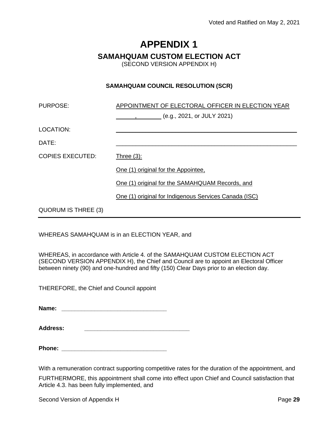#### **SAMAHQUAM CUSTOM ELECTION ACT**

(SECOND VERSION APPENDIX H)

#### **SAMAHQUAM COUNCIL RESOLUTION (SCR)**

| APPOINTMENT OF ELECTORAL OFFICER IN ELECTION YEAR<br>$, \qquad (e.g., 2021, or JULY 2021)$ |
|--------------------------------------------------------------------------------------------|
|                                                                                            |
|                                                                                            |
| Three $(3)$ :                                                                              |
| One (1) original for the Appointee.                                                        |
| One (1) original for the SAMAHQUAM Records, and                                            |
| One (1) original for Indigenous Services Canada (ISC)                                      |
|                                                                                            |
|                                                                                            |

WHEREAS SAMAHQUAM is in an ELECTION YEAR, and

WHEREAS, in accordance with Article 4. of the SAMAHQUAM CUSTOM ELECTION ACT (SECOND VERSION APPENDIX H), the Chief and Council are to appoint an Electoral Officer between ninety (90) and one-hundred and fifty (150) Clear Days prior to an election day.

THEREFORE, the Chief and Council appoint

**Name: \_\_\_\_\_\_\_\_\_\_\_\_\_\_\_\_\_\_\_\_\_\_\_\_\_\_\_\_\_\_\_\_**

**Address: \_\_\_\_\_\_\_\_\_\_\_\_\_\_\_\_\_\_\_\_\_\_\_\_\_\_\_\_\_\_\_\_**

**Phone: \_\_\_\_\_\_\_\_\_\_\_\_\_\_\_\_\_\_\_\_\_\_\_\_\_\_\_\_\_\_\_\_**

With a remuneration contract supporting competitive rates for the duration of the appointment, and

FURTHERMORE, this appointment shall come into effect upon Chief and Council satisfaction that Article 4.3. has been fully implemented, and

Second Version of Appendix H **Page 29** and **Page 29** and **Page 29** and **Page 29**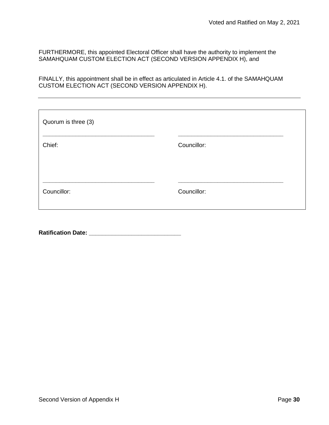FURTHERMORE, this appointed Electoral Officer shall have the authority to implement the SAMAHQUAM CUSTOM ELECTION ACT (SECOND VERSION APPENDIX H), and

FINALLY, this appointment shall be in effect as articulated in Article 4.1. of the SAMAHQUAM CUSTOM ELECTION ACT (SECOND VERSION APPENDIX H).

| Quorum is three (3) |             |
|---------------------|-------------|
| Chief:              | Councillor: |
| Councillor:         | Councillor: |
|                     |             |

**Ratification Date: \_\_\_\_\_\_\_\_\_\_\_\_\_\_\_\_\_\_\_\_\_\_\_\_\_\_\_\_**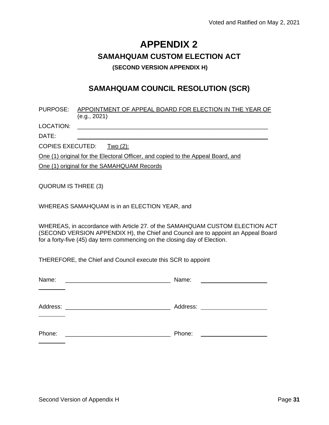## **APPENDIX 2 SAMAHQUAM CUSTOM ELECTION ACT (SECOND VERSION APPENDIX H)**

#### **SAMAHQUAM COUNCIL RESOLUTION (SCR)**

| PURPOSE: APPOINTMENT OF APPEAL BOARD FOR ELECTION IN THE YEAR OF |
|------------------------------------------------------------------|
| (e.g., 2021)                                                     |

LOCATION: \_\_\_\_\_\_\_\_\_\_\_\_\_\_\_\_\_\_\_\_\_\_\_\_\_\_\_\_\_\_\_\_\_\_\_\_\_\_\_\_\_\_\_\_\_\_\_\_\_\_\_\_\_\_\_\_\_\_

DATE: \_\_\_\_\_\_\_\_\_\_\_\_\_\_\_\_\_\_\_\_\_\_\_\_\_\_\_\_\_\_\_\_\_\_\_\_\_\_\_\_\_\_\_\_\_\_\_\_\_\_\_\_\_\_\_\_\_\_

COPIES EXECUTED: Two (2):

One (1) original for the Electoral Officer, and copied to the Appeal Board, and

One (1) original for the SAMAHQUAM Records

QUORUM IS THREE (3)

WHEREAS SAMAHQUAM is in an ELECTION YEAR, and

WHEREAS, in accordance with Article 27. of the SAMAHQUAM CUSTOM ELECTION ACT (SECOND VERSION APPENDIX H), the Chief and Council are to appoint an Appeal Board for a forty-five (45) day term commencing on the closing day of Election.

THEREFORE, the Chief and Council execute this SCR to appoint

| Name:                                                                                                                | Name:                                                                                                                |
|----------------------------------------------------------------------------------------------------------------------|----------------------------------------------------------------------------------------------------------------------|
| <u> 1980 - Johann John Stone, mars and de final and de final and de final and de final and de final and de final</u> | <u> Alexandria (Alexandria de Alexandria de Alexandria de Alexandria de Alexandria de Alexandria de Alexandria d</u> |
| Address:                                                                                                             | Address:                                                                                                             |
| <u> 1980 - John Stone, Amerikaansk politiker (* 1900)</u>                                                            |                                                                                                                      |
| Phone:                                                                                                               | Phone:                                                                                                               |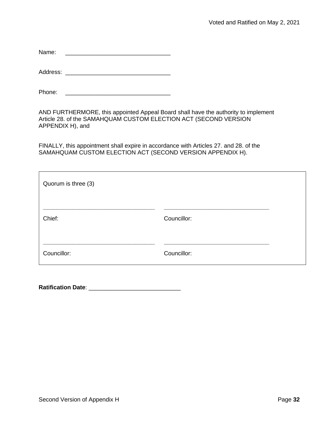Name: \_\_\_\_\_\_\_\_\_\_\_\_\_\_\_\_\_\_\_\_\_\_\_\_\_\_\_\_\_\_\_\_

Address: \_\_\_\_\_\_\_\_\_\_\_\_\_\_\_\_\_\_\_\_\_\_\_\_\_\_\_\_\_\_\_\_

Phone: \_\_\_\_\_\_\_\_\_\_\_\_\_\_\_\_\_\_\_\_\_\_\_\_\_\_\_\_\_\_\_\_

AND FURTHERMORE, this appointed Appeal Board shall have the authority to implement Article 28. of the SAMAHQUAM CUSTOM ELECTION ACT (SECOND VERSION APPENDIX H), and

FINALLY, this appointment shall expire in accordance with Articles 27. and 28. of the SAMAHQUAM CUSTOM ELECTION ACT (SECOND VERSION APPENDIX H).

| Quorum is three (3) |             |  |
|---------------------|-------------|--|
| Chief:              | Councillor: |  |
| Councillor:         | Councillor: |  |

**Ratification Date**: \_\_\_\_\_\_\_\_\_\_\_\_\_\_\_\_\_\_\_\_\_\_\_\_\_\_\_\_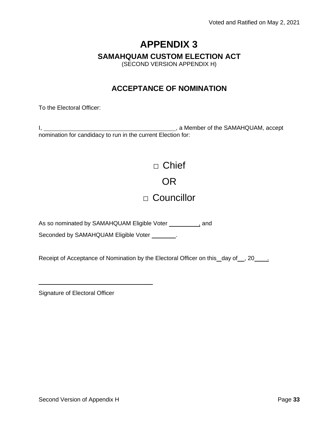#### **SAMAHQUAM CUSTOM ELECTION ACT**

(SECOND VERSION APPENDIX H)

#### **ACCEPTANCE OF NOMINATION**

To the Electoral Officer:

I, 1. All 2008 and 2008 and 2008 and 2008 and 2008 and 2008 and 2008 and 2008 and 2008 and 2008 and 2008 and 2008 and 2008 and 2008 and 2008 and 2008 and 2008 and 2008 and 2008 and 2008 and 2008 and 2008 and 2008 and 2008 nomination for candidacy to run in the current Election for:

> □ Chief OR

## □ Councillor

As so nominated by SAMAHQUAM Eligible Voter **, and** and

Seconded by SAMAHQUAM Eligible Voter \_\_\_\_\_\_\_.

Receipt of Acceptance of Nomination by the Electoral Officer on this day of , 20 ...

Signature of Electoral Officer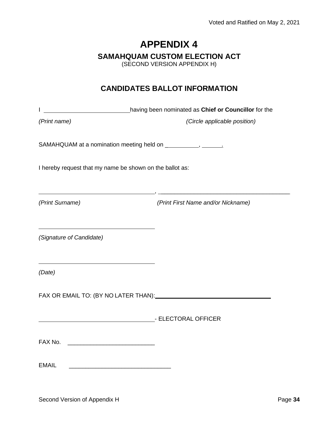#### **SAMAHQUAM CUSTOM ELECTION ACT**

(SECOND VERSION APPENDIX H)

#### **CANDIDATES BALLOT INFORMATION**

I **having been nominated as Chief or Councillor** for the

*(Print name) (Circle applicable position)*

, \_\_\_\_\_\_\_\_\_\_\_\_\_\_\_\_\_\_\_\_\_\_\_\_\_\_\_\_\_\_\_\_\_\_\_\_\_\_\_

SAMAHQUAM at a nomination meeting held on \_ , .

I hereby request that my name be shown on the ballot as:

*(Print Surname) (Print First Name and/or Nickname)*

*(Signature of Candidate)*

*(Date)*

FAX OR EMAIL TO: (BY NO LATER THAN):

- ELECTORAL OFFICER - ELECTORAL OF SALE AND THE SECTOR ALL OF STATE AND THE SECTOR ALL OF STATE AND THE SECTOR ALL OF STATE AND THE SECTOR ALL OF STATE AND THE SECTOR ALL OF STATE AND THE SECTOR ALL OF STATE AND THE SECTOR

FAX No. \_\_\_\_\_\_\_\_\_\_\_\_\_\_\_\_\_\_\_\_\_\_\_\_\_\_\_

EMAIL **EMAIL**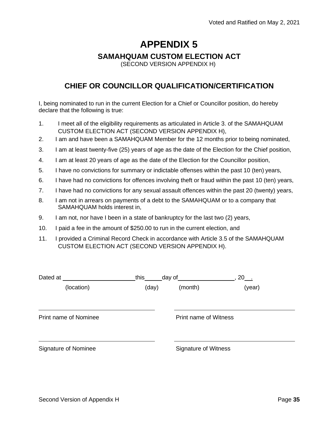#### **SAMAHQUAM CUSTOM ELECTION ACT**

(SECOND VERSION APPENDIX H)

#### **CHIEF OR COUNCILLOR QUALIFICATION/CERTIFICATION**

I, being nominated to run in the current Election for a Chief or Councillor position, do hereby declare that the following is true:

- 1. I meet all of the eligibility requirements as articulated in Article 3. of the SAMAHQUAM CUSTOM ELECTION ACT (SECOND VERSION APPENDIX H),
- 2. I am and have been a SAMAHQUAM Member for the 12 months prior to being nominated,
- 3. I am at least twenty-five (25) years of age as the date of the Election for the Chief position,
- 4. I am at least 20 years of age as the date of the Election for the Councillor position,
- 5. I have no convictions for summary or indictable offenses within the past 10 (ten) years,
- 6. I have had no convictions for offences involving theft or fraud within the past 10 (ten) years,
- 7. I have had no convictions for any sexual assault offences within the past 20 (twenty) years,
- 8. I am not in arrears on payments of a debt to the SAMAHQUAM or to a company that SAMAHQUAM holds interest in,
- 9. I am not, nor have I been in a state of bankruptcy for the last two (2) years,
- 10. I paid a fee in the amount of \$250.00 to run in the current election, and
- 11. I provided a Criminal Record Check in accordance with Article 3.5 of the SAMAHQUAM CUSTOM ELECTION ACT (SECOND VERSION APPENDIX H).

| Dated at                     | this  | day of                       | $20$ . |  |
|------------------------------|-------|------------------------------|--------|--|
| (location)                   | (day) | (month)                      | (year) |  |
| <b>Print name of Nominee</b> |       | <b>Print name of Witness</b> |        |  |
| <b>Signature of Nominee</b>  |       | <b>Signature of Witness</b>  |        |  |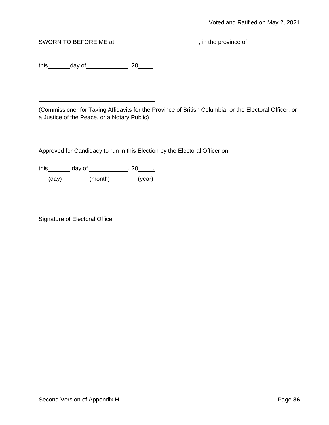SWORN TO BEFORE ME at \_\_\_\_\_\_\_\_\_\_\_\_\_\_\_\_\_\_\_\_\_\_\_\_\_, in the province of \_\_\_\_\_\_\_\_\_\_\_\_

this day of  $\qquad \qquad , 20$ .

(Commissioner for Taking Affidavits for the Province of British Columbia, or the Electoral Officer, or a Justice of the Peace, or a Notary Public)

Approved for Candidacy to run in this Election by the Electoral Officer on

this \_\_\_\_\_\_\_ day of \_\_\_\_\_\_\_\_\_\_\_\_\_, 20\_\_\_\_\_\_

(day) (month) (year)

Signature of Electoral Officer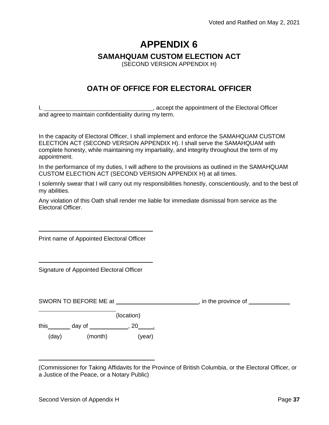#### **SAMAHQUAM CUSTOM ELECTION ACT**

(SECOND VERSION APPENDIX H)

### **OATH OF OFFICE FOR ELECTORAL OFFICER**

I, 1. Accept the appointment of the Electoral Officer and agree to maintain confidentiality during my term.

In the capacity of Electoral Officer, I shall implement and enforce the SAMAHQUAM CUSTOM ELECTION ACT (SECOND VERSION APPENDIX H). I shall serve the SAMAHQUAM with complete honesty, while maintaining my impartiality, and integrity throughout the term of my appointment.

In the performance of my duties, I will adhere to the provisions as outlined in the SAMAHQUAM CUSTOM ELECTION ACT (SECOND VERSION APPENDIX H) at all times.

I solemnly swear that I will carry out my responsibilities honestly, conscientiously, and to the best of my abilities.

Any violation of this Oath shall render me liable for immediate dismissal from service as the Electoral Officer.

Print name of Appointed Electoral Officer

Signature of Appointed Electoral Officer

| SWORN TO BEFORE ME at |         |            | , in the province of |
|-----------------------|---------|------------|----------------------|
|                       |         | (location) |                      |
| this                  | day of  | 20         |                      |
| (day)                 | (month) | (year)     |                      |

<sup>(</sup>Commissioner for Taking Affidavits for the Province of British Columbia, or the Electoral Officer, or a Justice of the Peace, or a Notary Public)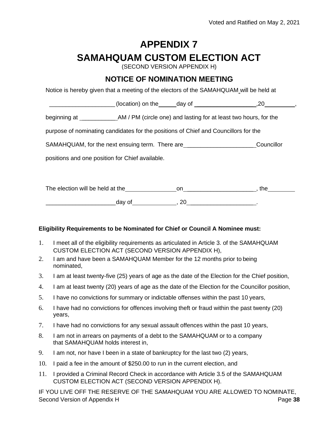# **APPENDIX 7 SAMAHQUAM CUSTOM ELECTION ACT**

(SECOND VERSION APPENDIX H)

### **NOTICE OF NOMINATION MEETING**

Notice is hereby given that a meeting of the electors of the SAMAHQUAM will be held at

| (location) on the | - 1 |  |
|-------------------|-----|--|
|-------------------|-----|--|

beginning at **AM** / PM (circle one) and lasting for at least two hours, for the

purpose of nominating candidates for the positions of Chief and Councillors for the

SAMAHQUAM, for the next ensuing term. There are **construct the Connect Councillor** 

positions and one position for Chief available.

The election will be held at the on on on on on the set of the set of the one of the set of the set of the set of the set of the set of the set of the set of the set of the set of the set of the set of the set of the set o  $\qquad \qquad \text{day of} \qquad \qquad \text{, } 20 \qquad \qquad \text{.}$ 

#### **Eligibility Requirements to be Nominated for Chief or Council A Nominee must:**

- 1. I meet all of the eligibility requirements as articulated in Article 3. of the SAMAHQUAM CUSTOM ELECTION ACT (SECOND VERSION APPENDIX H),
- 2. I am and have been a SAMAHQUAM Member for the 12 months prior to being nominated,
- 3. I am at least twenty-five (25) years of age as the date of the Election for the Chief position,
- 4. I am at least twenty (20) years of age as the date of the Election for the Councillor position,
- 5. I have no convictions for summary or indictable offenses within the past 10 years,
- 6. I have had no convictions for offences involving theft or fraud within the past twenty (20) years,
- 7. I have had no convictions for any sexual assault offences within the past 10 years,
- 8. I am not in arrears on payments of a debt to the SAMAHQUAM or to a company that SAMAHQUAM holds interest in,
- 9. I am not, nor have I been in a state of bankruptcy for the last two (2) years,
- 10. I paid a fee in the amount of \$250.00 to run in the current election, and
- 11. I provided a Criminal Record Check in accordance with Article 3.5 of the SAMAHQUAM CUSTOM ELECTION ACT (SECOND VERSION APPENDIX H).

Second Version of Appendix H **Page 38 Page 38** IF YOU LIVE OFF THE RESERVE OF THE SAMAHQUAM YOU ARE ALLOWED TO NOMINATE,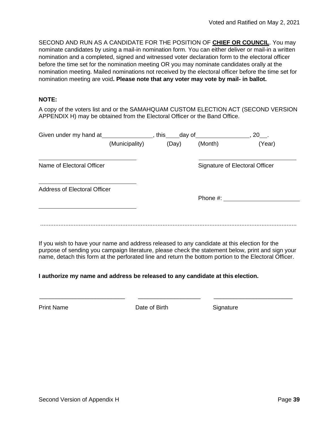SECOND AND RUN AS A CANDIDATE FOR THE POSITION OF **CHIEF OR COUNCIL**. You may nominate candidates by using a mail-in nomination form. You can either deliver or mail-in a written nomination and a completed, signed and witnessed voter declaration form to the electoral officer before the time set for the nomination meeting OR you may nominate candidates orally at the nomination meeting. Mailed nominations not received by the electoral officer before the time set for nomination meeting are void**. Please note that any voter may vote by mail- in ballot.**

#### **NOTE:**

A copy of the voters list and or the SAMAHQUAM CUSTOM ELECTION ACT (SECOND VERSION APPENDIX H) may be obtained from the Electoral Officer or the Band Office.

| Given under my hand at              |                | this<br>_day of_ |             | 20                             |
|-------------------------------------|----------------|------------------|-------------|--------------------------------|
|                                     | (Municipality) | (Day)            | (Month)     | (Year)                         |
| Name of Electoral Officer           |                |                  |             | Signature of Electoral Officer |
| <b>Address of Electoral Officer</b> |                |                  | Phone $#$ : |                                |
|                                     |                |                  |             |                                |
|                                     |                |                  |             |                                |

If you wish to have your name and address released to any candidate at this election for the purpose of sending you campaign literature, please check the statement below, print and sign your name, detach this form at the perforated line and return the bottom portion to the Electoral Officer.

\_\_\_\_\_\_\_\_\_\_\_\_\_\_\_\_\_\_\_\_\_\_\_\_\_\_ \_\_\_\_\_\_\_\_\_\_\_\_\_\_\_\_\_\_\_ \_\_\_\_\_\_\_\_\_\_\_\_\_\_\_\_\_\_\_\_\_\_\_\_

#### **I authorize my name and address be released to any candidate at this election.**

Print Name **Date of Birth** Signature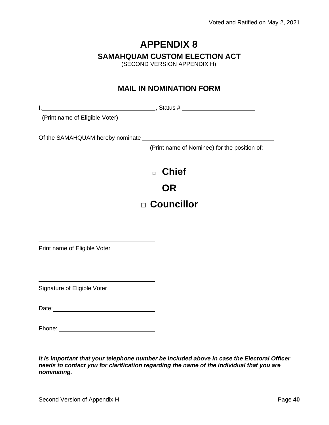### **SAMAHQUAM CUSTOM ELECTION ACT**

(SECOND VERSION APPENDIX H)

### **MAIL IN NOMINATION FORM**

I, , Status #

(Print name of Eligible Voter)

Of the SAMAHQUAM hereby nominate

(Print name of Nominee) for the position of:

□ **Chief OR**

# **□ Councillor**

Print name of Eligible Voter

Signature of Eligible Voter

Date: **Date: Date: Date: Date: Date: Date: Date: Date: Date: Date: Date: Date: Date: Date: Date: Date: Date: Date: Date: Date: Date: Date: Date: Date: Date: Date: Date:**

*It is important that your telephone number be included above in case the Electoral Officer needs to contact you for clarification regarding the name of the individual that you are nominating.*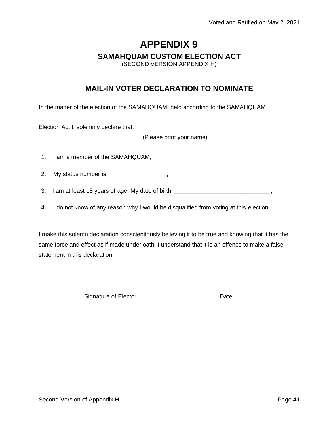#### **SAMAHQUAM CUSTOM ELECTION ACT**

(SECOND VERSION APPENDIX H)

### **MAIL-IN VOTER DECLARATION TO NOMINATE**

In the matter of the election of the SAMAHQUAM, held according to the SAMAHQUAM

Election Act I, solemnly declare that: :

(Please print your name)

- 1. I am a member of the SAMAHQUAM,
- 2. My status number is ,
- 3. I am at least 18 years of age. My date of birth \_\_\_\_\_\_\_\_\_\_\_\_\_\_\_\_\_\_\_\_\_\_\_\_\_\_\_\_\_\_
- 4. I do not know of any reason why I would be disqualified from voting at this election.

I make this solemn declaration conscientiously believing it to be true and knowing that it has the same force and effect as if made under oath. I understand that it is an offence to make a false statement in this declaration.

Signature of Elector **Date**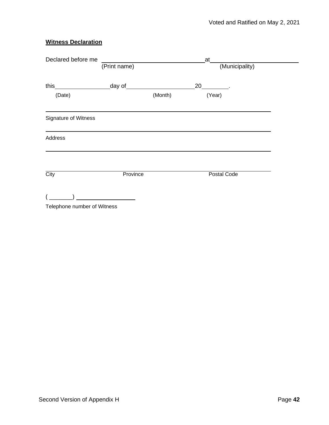#### **Witness Declaration**

| Declared before me          | at           |         |                    |  |
|-----------------------------|--------------|---------|--------------------|--|
|                             | (Print name) |         | (Municipality)     |  |
|                             |              |         | 20                 |  |
| (Date)                      |              | (Month) | (Year)             |  |
| Signature of Witness        |              |         |                    |  |
| Address                     |              |         |                    |  |
| City                        | Province     |         | <b>Postal Code</b> |  |
| Telephone number of Witness |              |         |                    |  |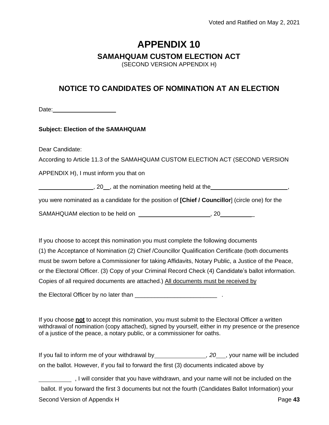#### **SAMAHQUAM CUSTOM ELECTION ACT**

(SECOND VERSION APPENDIX H)

### **NOTICE TO CANDIDATES OF NOMINATION AT AN ELECTION**

Date: **Date: Date: Date: Date: Date:** 

#### **Subject: Election of the SAMAHQUAM**

Dear Candidate:

According to Article 11.3 of the SAMAHQUAM CUSTOM ELECTION ACT (SECOND VERSION

APPENDIX H), I must inform you that on

g, 20<sub>, at</sub> the nomination meeting held at the **summand and the set of the set of the set of the set of the set of the set of the set of the set of the set of the set of the set of the set of the set of the set of the set** 

you were nominated as a candidate for the position of **[Chief / Councillor**] (circle one) for the

SAMAHQUAM election to be held on  $\sim$  , 20

If you choose to accept this nomination you must complete the following documents (1) the Acceptance of Nomination (2) Chief /Councillor Qualification Certificate (both documents must be sworn before a Commissioner for taking Affidavits, Notary Public, a Justice of the Peace, or the Electoral Officer. (3) Copy of your Criminal Record Check (4) Candidate's ballot information. Copies of all required documents are attached.) All documents must be received by

the Electoral Officer by no later than \_\_\_\_\_\_\_\_\_\_\_\_\_\_\_\_\_\_\_\_\_\_\_\_\_ .

If you choose **not** to accept this nomination, you must submit to the Electoral Officer a written withdrawal of nomination (copy attached), signed by yourself, either in my presence or the presence of a justice of the peace, a notary public, or a commissioner for oaths.

| If you fail to inform me of your withdrawal by                                            | 20, your name will be included |
|-------------------------------------------------------------------------------------------|--------------------------------|
| on the ballot. However, if you fail to forward the first (3) documents indicated above by |                                |
| I will consider that you have withdrawn, and your name will not be included on the        |                                |

Second Version of Appendix H **Page 43 Page 43** ballot. If you forward the first 3 documents but not the fourth (Candidates Ballot Information) your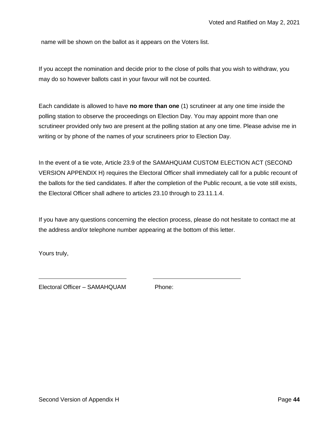name will be shown on the ballot as it appears on the Voters list.

If you accept the nomination and decide prior to the close of polls that you wish to withdraw, you may do so however ballots cast in your favour will not be counted.

Each candidate is allowed to have **no more than one** (1) scrutineer at any one time inside the polling station to observe the proceedings on Election Day. You may appoint more than one scrutineer provided only two are present at the polling station at any one time. Please advise me in writing or by phone of the names of your scrutineers prior to Election Day.

In the event of a tie vote, Article 23.9 of the SAMAHQUAM CUSTOM ELECTION ACT (SECOND VERSION APPENDIX H) requires the Electoral Officer shall immediately call for a public recount of the ballots for the tied candidates. If after the completion of the Public recount, a tie vote still exists, the Electoral Officer shall adhere to articles 23.10 through to 23.11.1.4.

If you have any questions concerning the election process, please do not hesitate to contact me at the address and/or telephone number appearing at the bottom of this letter.

Yours truly,

Electoral Officer – SAMAHQUAM Phone: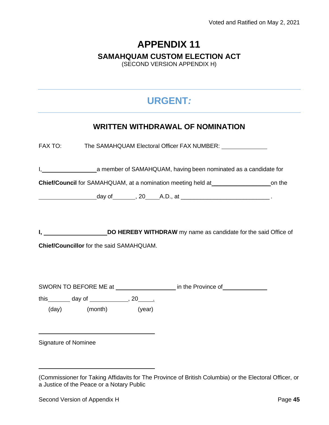# **APPENDIX 11 SAMAHQUAM CUSTOM ELECTION ACT**

(SECOND VERSION APPENDIX H)

# **URGENT***:*

### **WRITTEN WITHDRAWAL OF NOMINATION**

FAX TO: The SAMAHQUAM Electoral Officer FAX NUMBER:

I, 1. 2012 1. A member of SAMAHQUAM, having been nominated as a candidate for

**Chief/Council** for SAMAHQUAM, at a nomination meeting held at \_\_\_\_\_\_\_\_\_\_\_\_\_\_\_\_\_\_\_\_\_\_\_\_\_on the

day of  $\qquad \qquad$ , 20  $\qquad$  A.D., at  $\qquad \qquad$ 

**I, Solution HEREBY WITHDRAW** my name as candidate for the said Office of

**Chief/Councillor** for the said SAMAHQUAM.

SWORN TO BEFORE ME at in the Province of

this day of this day of this the set of the set of the set of the set of the set of the set of the set of the s

(day) (month) (year)

Signature of Nominee

<sup>(</sup>Commissioner for Taking Affidavits for The Province of British Columbia) or the Electoral Officer, or a Justice of the Peace or a Notary Public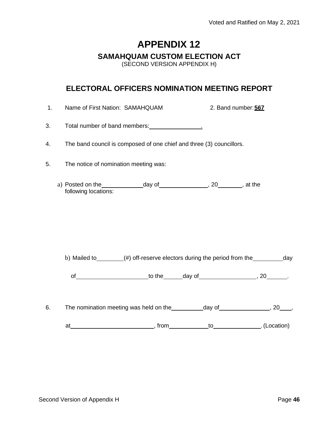#### **SAMAHQUAM CUSTOM ELECTION ACT**

(SECOND VERSION APPENDIX H)

### **ELECTORAL OFFICERS NOMINATION MEETING REPORT**

1. Name of First Nation: SAMAHQUAM 2. Band number:**567**

3. Total number of band members: 1. The manufacture of band members:

- 4. The band council is composed of one chief and three (3) councillors.
- 5. The notice of nomination meeting was:
	- a) Posted on the  $\qquad \qquad$  day of  $\qquad \qquad$ , 20  $\qquad \qquad$ , at the following locations:

b) Mailed to (#) off-reserve electors during the period from the day

of to the day of the contract of the contract of  $\alpha$  .

6. The nomination meeting was held on the  $\Box$  day of  $\Box$ , 20 ,

at at to the state of the state of the state of the state of the state of the state of the state of the state of the state of the state of the state of the state of the state of the state of the state of the state of the s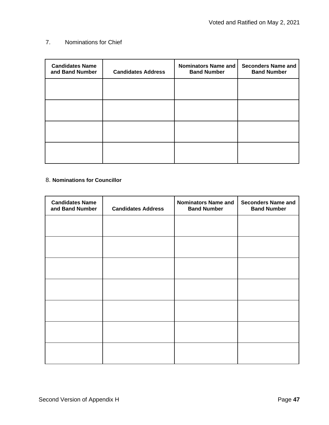#### 7. Nominations for Chief

| <b>Candidates Name</b><br>and Band Number | <b>Candidates Address</b> | <b>Nominators Name and</b><br><b>Band Number</b> | <b>Seconders Name and</b><br><b>Band Number</b> |
|-------------------------------------------|---------------------------|--------------------------------------------------|-------------------------------------------------|
|                                           |                           |                                                  |                                                 |
|                                           |                           |                                                  |                                                 |
|                                           |                           |                                                  |                                                 |
|                                           |                           |                                                  |                                                 |

#### 8. **Nominations for Councillor**

| <b>Candidates Name</b><br>and Band Number | <b>Candidates Address</b> | <b>Nominators Name and</b><br><b>Band Number</b> | <b>Seconders Name and</b><br><b>Band Number</b> |
|-------------------------------------------|---------------------------|--------------------------------------------------|-------------------------------------------------|
|                                           |                           |                                                  |                                                 |
|                                           |                           |                                                  |                                                 |
|                                           |                           |                                                  |                                                 |
|                                           |                           |                                                  |                                                 |
|                                           |                           |                                                  |                                                 |
|                                           |                           |                                                  |                                                 |
|                                           |                           |                                                  |                                                 |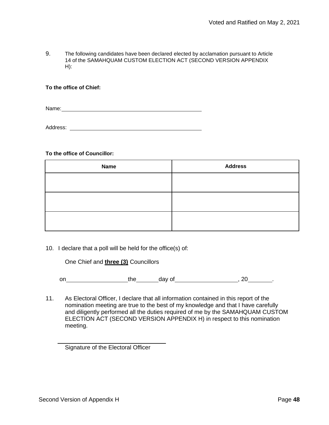9. The following candidates have been declared elected by acclamation pursuant to Article 14 of the SAMAHQUAM CUSTOM ELECTION ACT (SECOND VERSION APPENDIX H):

#### **To the office of Chief:**

Name: when the contract of the contract of the contract of the contract of the contract of the contract of the contract of the contract of the contract of the contract of the contract of the contract of the contract of the

Address:

#### **To the office of Councillor:**

| <b>Name</b> | <b>Address</b> |
|-------------|----------------|
|             |                |
|             |                |
|             |                |
|             |                |

#### 10. I declare that a poll will be held for the office(s) of:

One Chief and **three (3)** Councillors

on the day of , 20 .

11. As Electoral Officer, I declare that all information contained in this report of the nomination meeting are true to the best of my knowledge and that I have carefully and diligently performed all the duties required of me by the SAMAHQUAM CUSTOM ELECTION ACT (SECOND VERSION APPENDIX H) in respect to this nomination meeting.

Signature of the Electoral Officer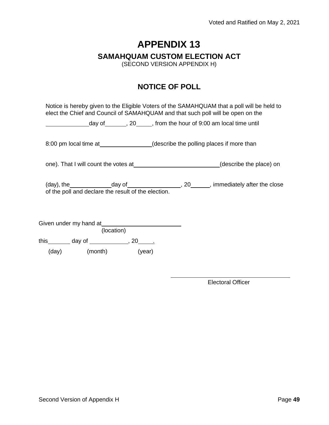**SAMAHQUAM CUSTOM ELECTION ACT**

(SECOND VERSION APPENDIX H)

### **NOTICE OF POLL**

Notice is hereby given to the Eligible Voters of the SAMAHQUAM that a poll will be held to elect the Chief and Council of SAMAHQUAM and that such poll will be open on the

day of \_\_\_\_\_\_\_, 20 \_\_\_\_, from the hour of 9:00 am local time until

8:00 pm local time at\_\_\_\_\_\_\_\_\_\_\_\_\_\_\_(describe the polling places if more than

one). That I will count the votes at (describe the place) on

 $(\text{day})$ , the  $\qquad \qquad \text{day of} \qquad \qquad \text{day}$ , 20 , immediately after the close of the poll and declare the result of the election.

|            | Given under my hand at |        |  |  |
|------------|------------------------|--------|--|--|
| (location) |                        |        |  |  |
| this       | day of                 | 20     |  |  |
| (day)      | (month)                | (year) |  |  |

Electoral Officer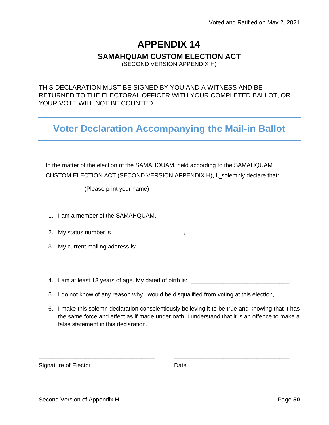### **SAMAHQUAM CUSTOM ELECTION ACT**

(SECOND VERSION APPENDIX H)

THIS DECLARATION MUST BE SIGNED BY YOU AND A WITNESS AND BE RETURNED TO THE ELECTORAL OFFICER WITH YOUR COMPLETED BALLOT, OR YOUR VOTE WILL NOT BE COUNTED.

**Voter Declaration Accompanying the Mail-in Ballot**

In the matter of the election of the SAMAHQUAM, held according to the SAMAHQUAM CUSTOM ELECTION ACT (SECOND VERSION APPENDIX H), I, solemnly declare that:

(Please print your name)

- 1. I am a member of the SAMAHQUAM,
- 2. My status number is **summan**
- 3. My current mailing address is:
- 4. I am at least 18 years of age. My dated of birth is: \_\_\_\_\_\_\_\_\_\_\_\_\_\_\_\_\_\_\_\_\_\_\_\_
- 5. I do not know of any reason why I would be disqualified from voting at this election,

\_\_\_\_\_\_\_\_\_\_\_\_\_\_\_\_\_\_\_\_\_\_\_\_\_\_\_\_\_\_\_\_\_\_\_ \_\_\_\_\_\_\_\_\_\_\_\_\_\_\_\_\_\_\_\_\_\_\_\_\_\_\_\_\_\_\_\_\_\_\_

6. I make this solemn declaration conscientiously believing it to be true and knowing that it has the same force and effect as if made under oath. I understand that it is an offence to make a false statement in this declaration.

Signature of Elector **Date**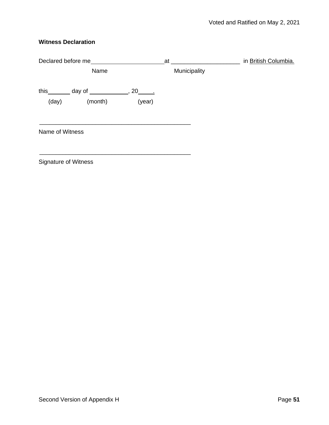#### **Witness Declaration**

| Declared before me          |                                                 | at     | in British Columbia. |  |
|-----------------------------|-------------------------------------------------|--------|----------------------|--|
|                             | Name                                            |        | Municipality         |  |
|                             | this ________ day of _______________, 20_______ |        |                      |  |
| (day)                       | (month)                                         | (year) |                      |  |
| Name of Witness             |                                                 |        |                      |  |
| <b>Signature of Witness</b> |                                                 |        |                      |  |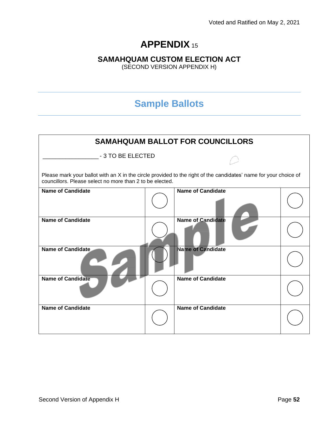### **SAMAHQUAM CUSTOM ELECTION ACT**

(SECOND VERSION APPENDIX H)

# **Sample Ballots**

| <b>SAMAHQUAM BALLOT FOR COUNCILLORS</b>                                                                                                                                      |  |                          |  |  |
|------------------------------------------------------------------------------------------------------------------------------------------------------------------------------|--|--------------------------|--|--|
| - 3 TO BE ELECTED                                                                                                                                                            |  |                          |  |  |
| Please mark your ballot with an X in the circle provided to the right of the candidates' name for your choice of<br>councillors. Please select no more than 2 to be elected. |  |                          |  |  |
| <b>Name of Candidate</b>                                                                                                                                                     |  | <b>Name of Candidate</b> |  |  |
| <b>Name of Candidate</b>                                                                                                                                                     |  | <b>Name of Candidate</b> |  |  |
| <b>Name of Candidate</b>                                                                                                                                                     |  | <b>Name of Candidate</b> |  |  |
| <b>Name of Candidate</b>                                                                                                                                                     |  | <b>Name of Candidate</b> |  |  |
| <b>Name of Candidate</b>                                                                                                                                                     |  | <b>Name of Candidate</b> |  |  |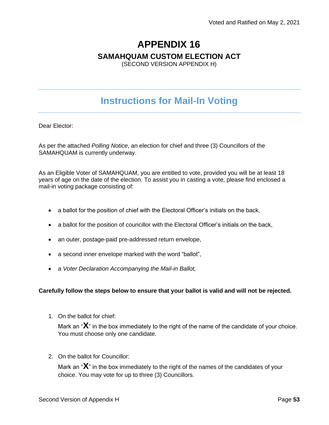#### **SAMAHQUAM CUSTOM ELECTION ACT**

(SECOND VERSION APPENDIX H)

# **Instructions for Mail-In Voting**

Dear Elector:

As per the attached *Polling Notice*, an election for chief and three (3) Councillors of the SAMAHQUAM is currently underway.

As an Eligible Voter of SAMAHQUAM, you are entitled to vote, provided you will be at least 18 years of age on the date of the election. To assist you in casting a vote, please find enclosed a mail-in voting package consisting of:

- a ballot for the position of chief with the Electoral Officer's initials on the back,
- a ballot for the position of councillor with the Electoral Officer's initials on the back,
- an outer, postage-paid pre-addressed return envelope,
- a second inner envelope marked with the word "ballot",
- a *Voter Declaration Accompanying the Mail-in Ballot,*

#### **Carefully follow the steps below to ensure that your ballot is valid and will not be rejected.**

1. On the ballot for chief:

Mark an "**X**" in the box immediately to the right of the name of the candidate of your choice. You must choose only one candidate.

2. On the ballot for Councillor:

Mark an "**X**" in the box immediately to the right of the names of the candidates of your choice. You may vote for up to three (3) Councillors.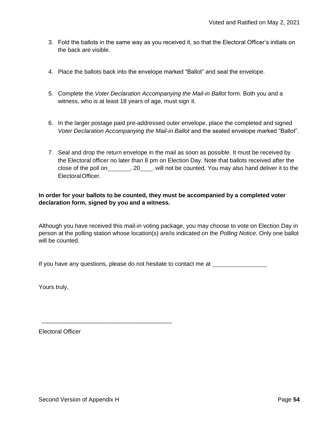- 3. Fold the ballots in the same way as you received it, so that the Electoral Officer's initials on the back are visible.
- 4. Place the ballots back into the envelope marked "Ballot" and seal the envelope.
- 5. Complete the *Voter Declaration Accompanying the Mail-in Ballot* form. Both you and a witness, who is at least 18 years of age, must sign it.
- 6. In the larger postage paid pre-addressed outer envelope, place the completed and signed *Voter Declaration Accompanying the Mail-in Ballot* and the sealed envelope marked "Ballot".
- 7. Seal and drop the return envelope in the mail as soon as possible. It must be received by the Electoral officer no later than 8 pm on Election Day. Note that ballots received after the close of the poll on \_\_\_\_\_\_\_\_, 20 \_\_\_\_\_. will not be counted. You may also hand deliver it to the ElectoralOfficer.

#### **In order for your ballots to be counted, they must be accompanied by a completed voter declaration form, signed by you and a witness.**

Although you have received this mail-in voting package, you may choose to vote on Election Day in person at the polling station whose location(s) are/is indicated on the *Polling Notice*. Only one ballot will be counted.

If you have any questions, please do not hesitate to contact me at

Yours truly,

Electoral Officer

\_\_\_\_\_\_\_\_\_\_\_\_\_\_\_\_\_\_\_\_\_\_\_\_\_\_\_\_\_\_\_\_\_\_\_\_\_\_\_\_\_\_\_\_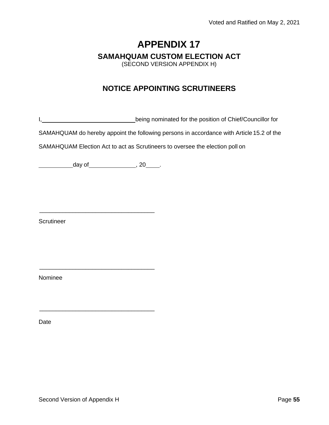## **APPENDIX 17 SAMAHQUAM CUSTOM ELECTION ACT** (SECOND VERSION APPENDIX H)

### **NOTICE APPOINTING SCRUTINEERS**

I, being nominated for the position of Chief/Councillor for

SAMAHQUAM do hereby appoint the following persons in accordance with Article 15.2 of the

SAMAHQUAM Election Act to act as Scrutineers to oversee the election poll on

 $\frac{1}{2}$  , 20  $\frac{1}{2}$  , 20  $\frac{1}{2}$ 

\_\_\_\_\_\_\_\_\_\_\_\_\_\_\_\_\_\_\_\_\_\_\_\_\_\_\_\_\_\_\_\_\_\_\_

\_\_\_\_\_\_\_\_\_\_\_\_\_\_\_\_\_\_\_\_\_\_\_\_\_\_\_\_\_\_\_\_\_\_\_

\_\_\_\_\_\_\_\_\_\_\_\_\_\_\_\_\_\_\_\_\_\_\_\_\_\_\_\_\_\_\_\_\_\_\_

**Scrutineer** 

Nominee

Date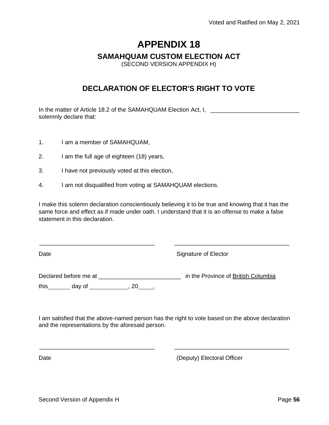#### **SAMAHQUAM CUSTOM ELECTION ACT**

(SECOND VERSION APPENDIX H)

### **DECLARATION OF ELECTOR'S RIGHT TO VOTE**

In the matter of Article 18.2 of the SAMAHQUAM Election Act, I, solemnly declare that:

- 1. I am a member of SAMAHQUAM,
- 2. I am the full age of eighteen (18) years,
- 3. I have not previously voted at this election,
- 4. I am not disqualified from voting at SAMAHQUAM elections.

I make this solemn declaration conscientiously believing it to be true and knowing that it has the same force and effect as if made under oath. I understand that it is an offense to make a false statement in this declaration.

\_\_\_\_\_\_\_\_\_\_\_\_\_\_\_\_\_\_\_\_\_\_\_\_\_\_\_\_\_\_\_\_\_\_\_ \_\_\_\_\_\_\_\_\_\_\_\_\_\_\_\_\_\_\_\_\_\_\_\_\_\_\_\_\_\_\_\_\_\_\_

Date **Signature of Elector** 

Declared before me at \_\_\_\_\_\_\_\_\_\_\_\_\_\_\_\_\_\_\_\_\_\_\_\_\_\_\_\_\_\_\_\_ in the Province of British Columbia this  $day of$  ,  $20$  .

I am satisfied that the above-named person has the right to vote based on the above declaration and the representations by the aforesaid person.

\_\_\_\_\_\_\_\_\_\_\_\_\_\_\_\_\_\_\_\_\_\_\_\_\_\_\_\_\_\_\_\_\_\_\_ \_\_\_\_\_\_\_\_\_\_\_\_\_\_\_\_\_\_\_\_\_\_\_\_\_\_\_\_\_\_\_\_\_\_\_

Date **(Deputy)** Electoral Officer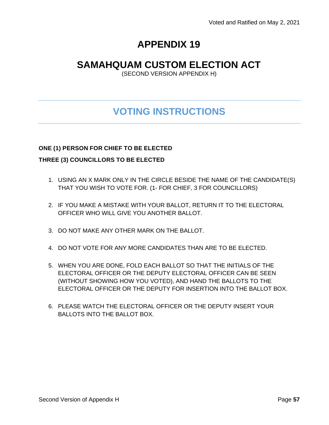# **SAMAHQUAM CUSTOM ELECTION ACT**

(SECOND VERSION APPENDIX H)

# **VOTING INSTRUCTIONS**

#### **ONE (1) PERSON FOR CHIEF TO BE ELECTED**

#### **THREE (3) COUNCILLORS TO BE ELECTED**

- 1. USING AN X MARK ONLY IN THE CIRCLE BESIDE THE NAME OF THE CANDIDATE(S) THAT YOU WISH TO VOTE FOR. (1- FOR CHIEF, 3 FOR COUNCILLORS)
- 2. IF YOU MAKE A MISTAKE WITH YOUR BALLOT, RETURN IT TO THE ELECTORAL OFFICER WHO WILL GIVE YOU ANOTHER BALLOT.
- 3. DO NOT MAKE ANY OTHER MARK ON THE BALLOT.
- 4. DO NOT VOTE FOR ANY MORE CANDIDATES THAN ARE TO BE ELECTED.
- 5. WHEN YOU ARE DONE, FOLD EACH BALLOT SO THAT THE INITIALS OF THE ELECTORAL OFFICER OR THE DEPUTY ELECTORAL OFFICER CAN BE SEEN (WITHOUT SHOWING HOW YOU VOTED), AND HAND THE BALLOTS TO THE ELECTORAL OFFICER OR THE DEPUTY FOR INSERTION INTO THE BALLOT BOX.
- 6. PLEASE WATCH THE ELECTORAL OFFICER OR THE DEPUTY INSERT YOUR BALLOTS INTO THE BALLOT BOX.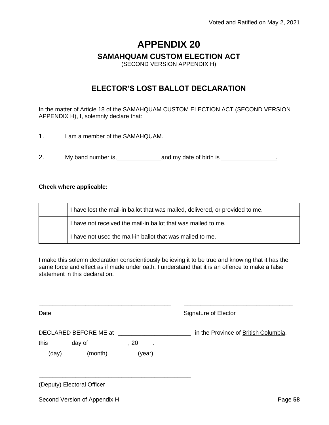#### **SAMAHQUAM CUSTOM ELECTION ACT**

(SECOND VERSION APPENDIX H)

### **ELECTOR'S LOST BALLOT DECLARATION**

In the matter of Article 18 of the SAMAHQUAM CUSTOM ELECTION ACT (SECOND VERSION APPENDIX H), I, solemnly declare that:

- 1. I am a member of the SAMAHQUAM.
- 2. My band number is, 1.1 and my date of birth is 1.1 and my date of birth is 1.1 and my date of birth is 2.1 and my date of birth is 2.1 and my date of birth is 2.1 and my date of birth is 2.1 and my date of birth is 2.1

#### **Check where applicable:**

| I have lost the mail-in ballot that was mailed, delivered, or provided to me. |
|-------------------------------------------------------------------------------|
| I have not received the mail-in ballot that was mailed to me.                 |
| I have not used the mail-in ballot that was mailed to me.                     |

I make this solemn declaration conscientiously believing it to be true and knowing that it has the same force and effect as if made under oath. I understand that it is an offence to make a false statement in this declaration.

| Date                       |                                                           |        | Signature of Elector                 |
|----------------------------|-----------------------------------------------------------|--------|--------------------------------------|
|                            | DECLARED BEFORE ME at                                     |        | in the Province of British Columbia, |
| (day)                      | this ________ day of ______________, 20_______<br>(month) | (year) |                                      |
| (Deputy) Electoral Officer |                                                           |        |                                      |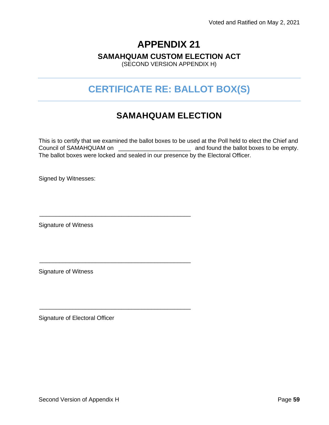#### **SAMAHQUAM CUSTOM ELECTION ACT**

(SECOND VERSION APPENDIX H)

# **CERTIFICATE RE: BALLOT BOX(S)**

# **SAMAHQUAM ELECTION**

This is to certify that we examined the ballot boxes to be used at the Poll held to elect the Chief and Council of SAMAHQUAM on  $\Box$  and found the ballot boxes to be empty. The ballot boxes were locked and sealed in our presence by the Electoral Officer.

Signed by Witnesses:

Signature of Witness

\_\_\_\_\_\_\_\_\_\_\_\_\_\_\_\_\_\_\_\_\_\_\_\_\_\_\_\_\_\_\_\_\_\_\_\_\_\_\_\_\_\_\_\_\_\_

\_\_\_\_\_\_\_\_\_\_\_\_\_\_\_\_\_\_\_\_\_\_\_\_\_\_\_\_\_\_\_\_\_\_\_\_\_\_\_\_\_\_\_\_\_\_

\_\_\_\_\_\_\_\_\_\_\_\_\_\_\_\_\_\_\_\_\_\_\_\_\_\_\_\_\_\_\_\_\_\_\_\_\_\_\_\_\_\_\_\_\_\_

Signature of Witness

Signature of Electoral Officer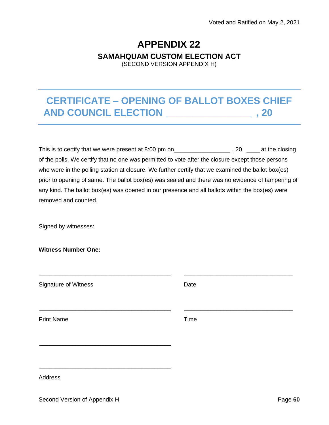### **APPENDIX 22 SAMAHQUAM CUSTOM ELECTION ACT** (SECOND VERSION APPENDIX H)

**CERTIFICATE – OPENING OF BALLOT BOXES CHIEF AND COUNCIL ELECTION \_\_\_\_\_\_\_\_\_\_\_\_\_\_\_\_ , 20**

This is to certify that we were present at 8:00 pm on\_\_\_\_\_\_\_\_\_\_\_\_\_\_\_\_\_\_\_\_\_\_, 20 \_\_\_\_\_\_ at the closing of the polls. We certify that no one was permitted to vote after the closure except those persons who were in the polling station at closure. We further certify that we examined the ballot box(es) prior to opening of same. The ballot box(es) was sealed and there was no evidence of tampering of any kind. The ballot box(es) was opened in our presence and all ballots within the box(es) were removed and counted.

Signed by witnesses:

**Witness Number One:**

| <b>Signature of Witness</b> | Date |
|-----------------------------|------|
| <b>Print Name</b>           | Time |
|                             |      |

\_\_\_\_\_\_\_\_\_\_\_\_\_\_\_\_\_\_\_\_\_\_\_\_\_\_\_\_\_\_\_\_\_\_\_\_\_\_\_\_ \_\_\_\_\_\_\_\_\_\_\_\_\_\_\_\_\_\_\_\_\_\_\_\_\_\_\_\_\_\_\_\_\_

**Address**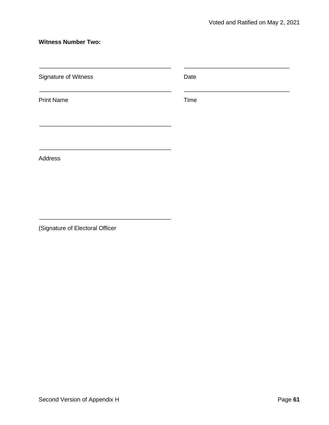#### **Witness Number Two:**

| Signature of Witness | Date |  |
|----------------------|------|--|
| <b>Print Name</b>    | Time |  |
| Address              |      |  |

(Signature of Electoral Officer

\_\_\_\_\_\_\_\_\_\_\_\_\_\_\_\_\_\_\_\_\_\_\_\_\_\_\_\_\_\_\_\_\_\_\_\_\_\_\_\_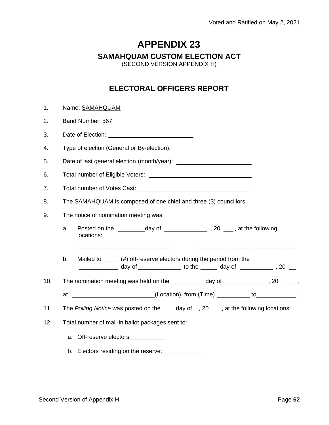#### **SAMAHQUAM CUSTOM ELECTION ACT**

(SECOND VERSION APPENDIX H)

### **ELECTORAL OFFICERS REPORT**

| 1.  |                                                                                                                                                                                                                                      | Name: SAMAHQUAM                                                                                                                                     |  |  |
|-----|--------------------------------------------------------------------------------------------------------------------------------------------------------------------------------------------------------------------------------------|-----------------------------------------------------------------------------------------------------------------------------------------------------|--|--|
| 2.  | Band Number: 567                                                                                                                                                                                                                     |                                                                                                                                                     |  |  |
| 3.  | Date of Election: <u>contract and the set of the set of the set of the set of the set of the set of the set of the set of the set of the set of the set of the set of the set of the set of the set of the set of the set of the</u> |                                                                                                                                                     |  |  |
| 4.  |                                                                                                                                                                                                                                      |                                                                                                                                                     |  |  |
| 5.  |                                                                                                                                                                                                                                      |                                                                                                                                                     |  |  |
| 6.  |                                                                                                                                                                                                                                      | Total number of Eligible Voters: National Protocology of Eligible Voters:                                                                           |  |  |
| 7.  |                                                                                                                                                                                                                                      |                                                                                                                                                     |  |  |
| 8.  |                                                                                                                                                                                                                                      | The SAMAHQUAM is composed of one chief and three (3) councillors.                                                                                   |  |  |
| 9.  |                                                                                                                                                                                                                                      | The notice of nomination meeting was:                                                                                                               |  |  |
|     | a.                                                                                                                                                                                                                                   | locations:                                                                                                                                          |  |  |
|     | b <sub>1</sub>                                                                                                                                                                                                                       | Mailed to $\mu$ (#) off-reserve electors during the period from the<br>_____________ day of ______________ to the ______ day of ____________,20 ___ |  |  |
| 10. |                                                                                                                                                                                                                                      | The nomination meeting was held on the __________ day of _____________, 20 ____,                                                                    |  |  |
|     |                                                                                                                                                                                                                                      | at __________________________(Location), from (Time) __________ to______________.                                                                   |  |  |
| 11. | The Polling Notice was posted on the day of, 20, at the following locations:                                                                                                                                                         |                                                                                                                                                     |  |  |
| 12. | Total number of mail-in ballot packages sent to:                                                                                                                                                                                     |                                                                                                                                                     |  |  |
|     |                                                                                                                                                                                                                                      | a. Off-reserve electors: ___________                                                                                                                |  |  |
|     |                                                                                                                                                                                                                                      | b. Electors residing on the reserve: ____________                                                                                                   |  |  |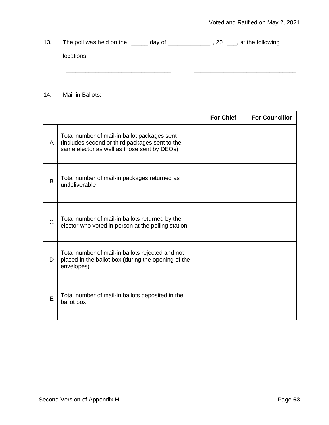13. The poll was held on the \_\_\_\_\_ day of \_\_\_\_\_\_\_\_\_\_\_\_\_\_\_, 20 \_\_\_, at the following locations: \_\_\_\_\_\_\_\_\_\_\_\_\_\_\_\_\_\_\_\_\_\_\_\_\_\_\_\_\_\_\_\_ \_\_\_\_\_\_\_\_\_\_\_\_\_\_\_\_\_\_\_\_\_\_\_\_\_\_\_\_\_\_\_

14. Mail-in Ballots:

|              |                                                                                                                                               | <b>For Chief</b> | <b>For Councillor</b> |
|--------------|-----------------------------------------------------------------------------------------------------------------------------------------------|------------------|-----------------------|
| A            | Total number of mail-in ballot packages sent<br>(includes second or third packages sent to the<br>same elector as well as those sent by DEOs) |                  |                       |
| B            | Total number of mail-in packages returned as<br>undeliverable                                                                                 |                  |                       |
| $\mathsf{C}$ | Total number of mail-in ballots returned by the<br>elector who voted in person at the polling station                                         |                  |                       |
| D            | Total number of mail-in ballots rejected and not<br>placed in the ballot box (during the opening of the<br>envelopes)                         |                  |                       |
| E            | Total number of mail-in ballots deposited in the<br>ballot box                                                                                |                  |                       |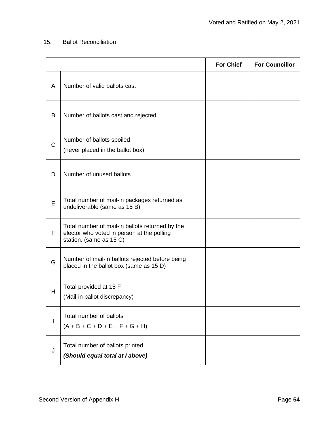#### 15. Ballot Reconciliation

|             |                                                                                                                          | <b>For Chief</b> | <b>For Councillor</b> |
|-------------|--------------------------------------------------------------------------------------------------------------------------|------------------|-----------------------|
| A           | Number of valid ballots cast                                                                                             |                  |                       |
| B           | Number of ballots cast and rejected                                                                                      |                  |                       |
| $\mathsf C$ | Number of ballots spoiled<br>(never placed in the ballot box)                                                            |                  |                       |
| D           | Number of unused ballots                                                                                                 |                  |                       |
| E           | Total number of mail-in packages returned as<br>undeliverable (same as 15 B)                                             |                  |                       |
| F           | Total number of mail-in ballots returned by the<br>elector who voted in person at the polling<br>station. (same as 15 C) |                  |                       |
| G           | Number of mail-in ballots rejected before being<br>placed in the ballot box (same as 15 D)                               |                  |                       |
| H           | Total provided at 15 F<br>(Mail-in ballot discrepancy)                                                                   |                  |                       |
| I           | Total number of ballots<br>$(A + B + C + D + E + F + G + H)$                                                             |                  |                       |
| J           | Total number of ballots printed<br>(Should equal total at I above)                                                       |                  |                       |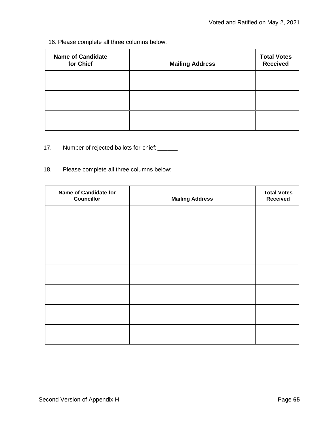16. Please complete all three columns below:

| <b>Name of Candidate</b><br>for Chief | <b>Mailing Address</b> | <b>Total Votes</b><br><b>Received</b> |
|---------------------------------------|------------------------|---------------------------------------|
|                                       |                        |                                       |
|                                       |                        |                                       |
|                                       |                        |                                       |

- 17. Number of rejected ballots for chief: \_\_\_\_\_\_
- 18. Please complete all three columns below:

| Name of Candidate for<br><b>Councillor</b> | <b>Mailing Address</b> | <b>Total Votes</b><br><b>Received</b> |
|--------------------------------------------|------------------------|---------------------------------------|
|                                            |                        |                                       |
|                                            |                        |                                       |
|                                            |                        |                                       |
|                                            |                        |                                       |
|                                            |                        |                                       |
|                                            |                        |                                       |
|                                            |                        |                                       |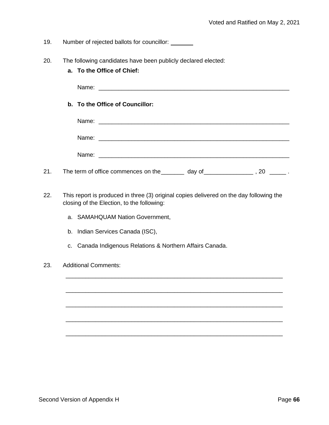19. Number of rejected ballots for councillor:

- 20. The following candidates have been publicly declared elected:
	- **a. To the Office of Chief:**

Name:

**b. To the Office of Councillor:**

| Name: | <u> 1980 - John Stein, Amerikaansk politiker (</u> † 1920) |
|-------|------------------------------------------------------------|
|       |                                                            |
| Name: |                                                            |
|       |                                                            |
|       |                                                            |
|       |                                                            |

- 21. The term of office commences on the \_\_\_\_\_\_\_ day of \_\_\_\_\_\_\_\_\_\_\_\_\_\_\_\_\_\_\_, 20 \_\_\_\_\_\_\_.
- 22. This report is produced in three (3) original copies delivered on the day following the closing of the Election, to the following:

\_\_\_\_\_\_\_\_\_\_\_\_\_\_\_\_\_\_\_\_\_\_\_\_\_\_\_\_\_\_\_\_\_\_\_\_\_\_\_\_\_\_\_\_\_\_\_\_\_\_\_\_\_\_\_\_\_\_\_\_\_\_\_\_\_\_

\_\_\_\_\_\_\_\_\_\_\_\_\_\_\_\_\_\_\_\_\_\_\_\_\_\_\_\_\_\_\_\_\_\_\_\_\_\_\_\_\_\_\_\_\_\_\_\_\_\_\_\_\_\_\_\_\_\_\_\_\_\_\_\_\_\_

\_\_\_\_\_\_\_\_\_\_\_\_\_\_\_\_\_\_\_\_\_\_\_\_\_\_\_\_\_\_\_\_\_\_\_\_\_\_\_\_\_\_\_\_\_\_\_\_\_\_\_\_\_\_\_\_\_\_\_\_\_\_\_\_\_\_

\_\_\_\_\_\_\_\_\_\_\_\_\_\_\_\_\_\_\_\_\_\_\_\_\_\_\_\_\_\_\_\_\_\_\_\_\_\_\_\_\_\_\_\_\_\_\_\_\_\_\_\_\_\_\_\_\_\_\_\_\_\_\_\_\_\_

\_\_\_\_\_\_\_\_\_\_\_\_\_\_\_\_\_\_\_\_\_\_\_\_\_\_\_\_\_\_\_\_\_\_\_\_\_\_\_\_\_\_\_\_\_\_\_\_\_\_\_\_\_\_\_\_\_\_\_\_\_\_\_\_\_\_

- a. SAMAHQUAM Nation Government,
- b. Indian Services Canada (ISC),
- c. Canada Indigenous Relations & Northern Affairs Canada.

#### 23. Additional Comments: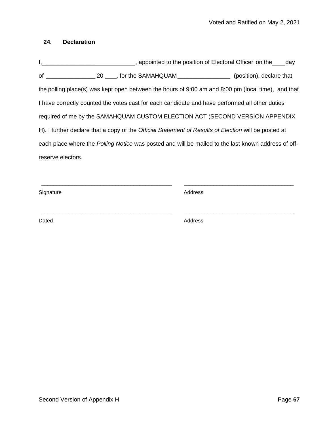#### **24. Declaration**

I, 1. 2008 1. 2019 The position of Electoral Officer on the day of \_\_\_\_\_\_\_\_\_\_\_\_\_\_\_ 20 , for the SAMAHQUAM\_\_\_\_\_\_\_\_\_\_\_\_\_\_\_\_ (position), declare that the polling place(s) was kept open between the hours of 9:00 am and 8:00 pm (local time), and that I have correctly counted the votes cast for each candidate and have performed all other duties required of me by the SAMAHQUAM CUSTOM ELECTION ACT (SECOND VERSION APPENDIX H). I further declare that a copy of the *Official Statement of Results of Election* will be posted at each place where the *Polling Notice* was posted and will be mailed to the last known address of offreserve electors.

\_\_\_\_\_\_\_\_\_\_\_\_\_\_\_\_\_\_\_\_\_\_\_\_\_\_\_\_\_\_\_\_\_\_\_\_\_\_\_\_\_\_\_\_ \_\_\_\_\_\_\_\_\_\_\_\_\_\_\_\_\_\_\_\_\_\_\_\_\_\_\_\_\_\_\_\_\_\_\_\_\_

\_\_\_\_\_\_\_\_\_\_\_\_\_\_\_\_\_\_\_\_\_\_\_\_\_\_\_\_\_\_\_\_\_\_\_\_\_\_\_\_\_\_\_\_ \_\_\_\_\_\_\_\_\_\_\_\_\_\_\_\_\_\_\_\_\_\_\_\_\_\_\_\_\_\_\_\_\_\_\_\_\_

Signature Address

Dated Address and Address and Address and Address and Address and Address and Address and Address and Address and Address and Address and Address and Address and Address and Address and Address and Address and Address and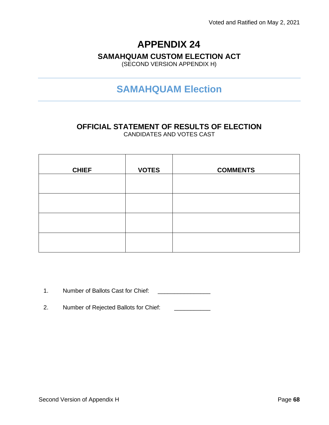### **SAMAHQUAM CUSTOM ELECTION ACT**

(SECOND VERSION APPENDIX H)

# **SAMAHQUAM Election**

# **OFFICIAL STATEMENT OF RESULTS OF ELECTION**

CANDIDATES AND VOTES CAST

| <b>CHIEF</b> | <b>VOTES</b> | <b>COMMENTS</b> |
|--------------|--------------|-----------------|
|              |              |                 |
|              |              |                 |
|              |              |                 |
|              |              |                 |

1. Number of Ballots Cast for Chief: \_\_\_\_\_\_\_\_\_\_\_\_\_\_\_\_

2. Number of Rejected Ballots for Chief: \_\_\_\_\_\_\_\_\_\_\_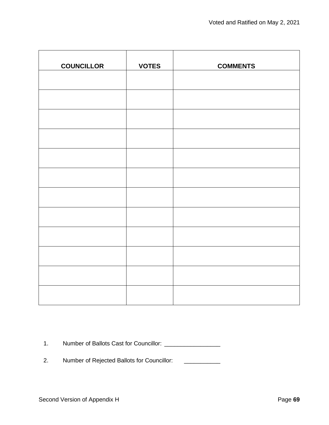| <b>COUNCILLOR</b> | <b>VOTES</b> | <b>COMMENTS</b> |
|-------------------|--------------|-----------------|
|                   |              |                 |
|                   |              |                 |
|                   |              |                 |
|                   |              |                 |
|                   |              |                 |
|                   |              |                 |
|                   |              |                 |
|                   |              |                 |
|                   |              |                 |
|                   |              |                 |
|                   |              |                 |
|                   |              |                 |

1. Number of Ballots Cast for Councillor: \_\_\_\_\_\_\_\_\_\_\_\_\_\_\_\_\_

2. Number of Rejected Ballots for Councillor: \_\_\_\_\_\_\_\_\_\_\_\_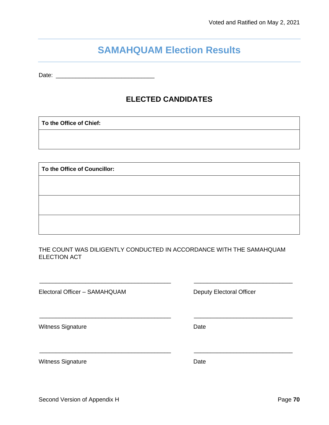# **SAMAHQUAM Election Results**

Date: \_\_\_\_\_\_\_\_\_\_\_\_\_\_\_\_\_\_\_\_\_\_\_\_\_\_\_\_\_\_

### **ELECTED CANDIDATES**

**To the Office of Chief:**

**To the Office of Councillor:**

THE COUNT WAS DILIGENTLY CONDUCTED IN ACCORDANCE WITH THE SAMAHQUAM ELECTION ACT

\_\_\_\_\_\_\_\_\_\_\_\_\_\_\_\_\_\_\_\_\_\_\_\_\_\_\_\_\_\_\_\_\_\_\_\_\_\_\_\_ \_\_\_\_\_\_\_\_\_\_\_\_\_\_\_\_\_\_\_\_\_\_\_\_\_\_\_\_\_\_

\_\_\_\_\_\_\_\_\_\_\_\_\_\_\_\_\_\_\_\_\_\_\_\_\_\_\_\_\_\_\_\_\_\_\_\_\_\_\_\_ \_\_\_\_\_\_\_\_\_\_\_\_\_\_\_\_\_\_\_\_\_\_\_\_\_\_\_\_\_\_

\_\_\_\_\_\_\_\_\_\_\_\_\_\_\_\_\_\_\_\_\_\_\_\_\_\_\_\_\_\_\_\_\_\_\_\_\_\_\_\_ \_\_\_\_\_\_\_\_\_\_\_\_\_\_\_\_\_\_\_\_\_\_\_\_\_\_\_\_\_\_

Electoral Officer – SAMAHQUAM Deputy Electoral Officer

Witness Signature **Date** 

Witness Signature **Date**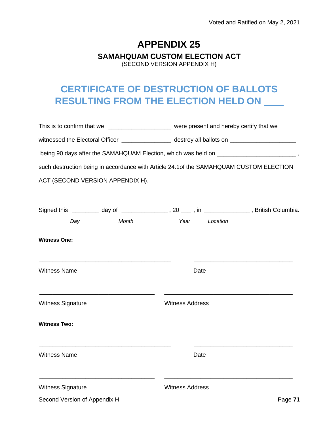#### **SAMAHQUAM CUSTOM ELECTION ACT**

(SECOND VERSION APPENDIX H)

# **CERTIFICATE OF DESTRUCTION OF BALLOTS RESULTING FROM THE ELECTION HELD ON**

|                                                                                                 |                        | This is to confirm that we _______________________ were present and hereby certify that we     |  |
|-------------------------------------------------------------------------------------------------|------------------------|------------------------------------------------------------------------------------------------|--|
|                                                                                                 |                        | witnessed the Electoral Officer _________________ destroy all ballots on _____________________ |  |
| being 90 days after the SAMAHQUAM Election, which was held on ________________________________, |                        |                                                                                                |  |
| such destruction being in accordance with Article 24.1 of the SAMAHQUAM CUSTOM ELECTION         |                        |                                                                                                |  |
| ACT (SECOND VERSION APPENDIX H).                                                                |                        |                                                                                                |  |
|                                                                                                 |                        |                                                                                                |  |
| Signed this _________ day of _________________, 20 ____, in _______________, British Columbia.  |                        |                                                                                                |  |
| Month<br>Day                                                                                    | Year Location          |                                                                                                |  |
| <b>Witness One:</b>                                                                             |                        |                                                                                                |  |
| <b>Witness Name</b>                                                                             | Date                   |                                                                                                |  |
| <b>Witness Signature</b>                                                                        | <b>Witness Address</b> |                                                                                                |  |
| <b>Witness Two:</b>                                                                             |                        |                                                                                                |  |
| <b>Witness Name</b>                                                                             | Date                   |                                                                                                |  |
| <b>Witness Signature</b>                                                                        | <b>Witness Address</b> |                                                                                                |  |
| Second Version of Appendix H                                                                    |                        | Page 71                                                                                        |  |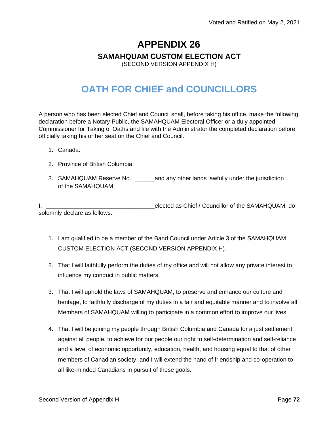# **APPENDIX 26 SAMAHQUAM CUSTOM ELECTION ACT**

(SECOND VERSION APPENDIX H)

# **OATH FOR CHIEF and COUNCILLORS**

A person who has been elected Chief and Council shall, before taking his office, make the following declaration before a Notary Public, the SAMAHQUAM Electoral Officer or a duly appointed Commissioner for Taking of Oaths and file with the Administrator the completed declaration before officially taking his or her seat on the Chief and Council.

- 1. Canada:
- 2. Province of British Columbia:
- 3. SAMAHQUAM Reserve No. \_\_\_\_\_\_and any other lands lawfully under the jurisdiction of the SAMAHQUAM.

I, \_\_\_\_\_\_\_\_\_\_\_\_\_\_\_\_\_\_\_\_\_\_\_\_\_\_\_\_\_\_\_\_\_elected as Chief / Councillor of the SAMAHQUAM, do solemnly declare as follows:

- 1. I am qualified to be a member of the Band Council under Article 3 of the SAMAHQUAM CUSTOM ELECTION ACT (SECOND VERSION APPENDIX H).
- 2. That I will faithfully perform the duties of my office and will not allow any private interest to influence my conduct in public matters.
- 3. That I will uphold the laws of SAMAHQUAM, to preserve and enhance our culture and heritage, to faithfully discharge of my duties in a fair and equitable manner and to involve all Members of SAMAHQUAM willing to participate in a common effort to improve our lives.
- 4. That I will be joining my people through British Columbia and Canada for a just settlement against all people, to achieve for our people our right to self-determination and self-reliance and a level of economic opportunity, education, health, and housing equal to that of other members of Canadian society; and I will extend the hand of friendship and co-operation to all like-minded Canadians in pursuit of these goals.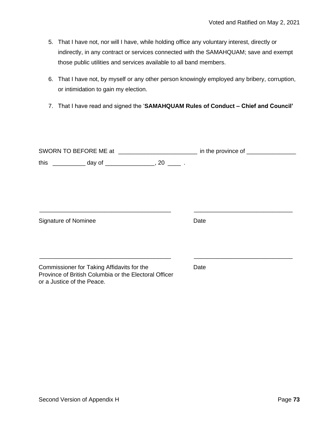- 5. That I have not, nor will I have, while holding office any voluntary interest, directly or indirectly, in any contract or services connected with the SAMAHQUAM; save and exempt those public utilities and services available to all band members.
- 6. That I have not, by myself or any other person knowingly employed any bribery, corruption, or intimidation to gain my election.
- 7. That I have read and signed the '**SAMAHQUAM Rules of Conduct – Chief and Council'**

| SWORN TO BEFORE ME at __________________________ in the province of ________                                                      |      |
|-----------------------------------------------------------------------------------------------------------------------------------|------|
|                                                                                                                                   |      |
|                                                                                                                                   |      |
| Signature of Nominee                                                                                                              | Date |
| Commissioner for Taking Affidavits for the<br>Province of British Columbia or the Electoral Officer<br>or a Justice of the Peace. | Date |